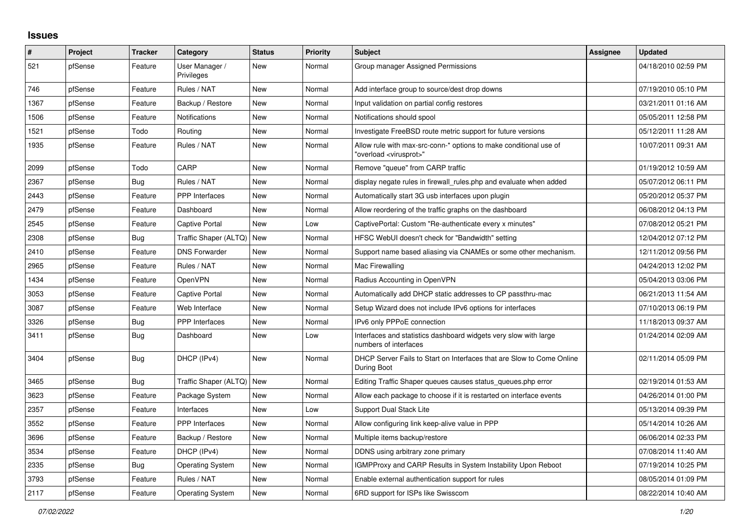## **Issues**

| #    | Project | <b>Tracker</b> | Category                     | <b>Status</b> | <b>Priority</b> | <b>Subject</b>                                                                                          | Assignee | <b>Updated</b>      |
|------|---------|----------------|------------------------------|---------------|-----------------|---------------------------------------------------------------------------------------------------------|----------|---------------------|
| 521  | pfSense | Feature        | User Manager /<br>Privileges | New           | Normal          | Group manager Assigned Permissions                                                                      |          | 04/18/2010 02:59 PM |
| 746  | pfSense | Feature        | Rules / NAT                  | New           | Normal          | Add interface group to source/dest drop downs                                                           |          | 07/19/2010 05:10 PM |
| 1367 | pfSense | Feature        | Backup / Restore             | New           | Normal          | Input validation on partial config restores                                                             |          | 03/21/2011 01:16 AM |
| 1506 | pfSense | Feature        | Notifications                | New           | Normal          | Notifications should spool                                                                              |          | 05/05/2011 12:58 PM |
| 1521 | pfSense | Todo           | Routing                      | New           | Normal          | Investigate FreeBSD route metric support for future versions                                            |          | 05/12/2011 11:28 AM |
| 1935 | pfSense | Feature        | Rules / NAT                  | New           | Normal          | Allow rule with max-src-conn-* options to make conditional use of<br>'overload <virusprot>"</virusprot> |          | 10/07/2011 09:31 AM |
| 2099 | pfSense | Todo           | CARP                         | New           | Normal          | Remove "queue" from CARP traffic                                                                        |          | 01/19/2012 10:59 AM |
| 2367 | pfSense | <b>Bug</b>     | Rules / NAT                  | New           | Normal          | display negate rules in firewall rules php and evaluate when added                                      |          | 05/07/2012 06:11 PM |
| 2443 | pfSense | Feature        | <b>PPP</b> Interfaces        | New           | Normal          | Automatically start 3G usb interfaces upon plugin                                                       |          | 05/20/2012 05:37 PM |
| 2479 | pfSense | Feature        | Dashboard                    | New           | Normal          | Allow reordering of the traffic graphs on the dashboard                                                 |          | 06/08/2012 04:13 PM |
| 2545 | pfSense | Feature        | Captive Portal               | New           | Low             | CaptivePortal: Custom "Re-authenticate every x minutes"                                                 |          | 07/08/2012 05:21 PM |
| 2308 | pfSense | Bug            | Traffic Shaper (ALTQ)        | <b>New</b>    | Normal          | HFSC WebUI doesn't check for "Bandwidth" setting                                                        |          | 12/04/2012 07:12 PM |
| 2410 | pfSense | Feature        | <b>DNS Forwarder</b>         | New           | Normal          | Support name based aliasing via CNAMEs or some other mechanism.                                         |          | 12/11/2012 09:56 PM |
| 2965 | pfSense | Feature        | Rules / NAT                  | New           | Normal          | Mac Firewalling                                                                                         |          | 04/24/2013 12:02 PM |
| 1434 | pfSense | Feature        | OpenVPN                      | New           | Normal          | Radius Accounting in OpenVPN                                                                            |          | 05/04/2013 03:06 PM |
| 3053 | pfSense | Feature        | Captive Portal               | New           | Normal          | Automatically add DHCP static addresses to CP passthru-mac                                              |          | 06/21/2013 11:54 AM |
| 3087 | pfSense | Feature        | Web Interface                | New           | Normal          | Setup Wizard does not include IPv6 options for interfaces                                               |          | 07/10/2013 06:19 PM |
| 3326 | pfSense | Bug            | PPP Interfaces               | New           | Normal          | IPv6 only PPPoE connection                                                                              |          | 11/18/2013 09:37 AM |
| 3411 | pfSense | Bug            | Dashboard                    | New           | Low             | Interfaces and statistics dashboard widgets very slow with large<br>numbers of interfaces               |          | 01/24/2014 02:09 AM |
| 3404 | pfSense | <b>Bug</b>     | DHCP (IPv4)                  | New           | Normal          | DHCP Server Fails to Start on Interfaces that are Slow to Come Online<br>During Boot                    |          | 02/11/2014 05:09 PM |
| 3465 | pfSense | <b>Bug</b>     | Traffic Shaper (ALTQ)        | New           | Normal          | Editing Traffic Shaper queues causes status_queues.php error                                            |          | 02/19/2014 01:53 AM |
| 3623 | pfSense | Feature        | Package System               | New           | Normal          | Allow each package to choose if it is restarted on interface events                                     |          | 04/26/2014 01:00 PM |
| 2357 | pfSense | Feature        | Interfaces                   | New           | Low             | <b>Support Dual Stack Lite</b>                                                                          |          | 05/13/2014 09:39 PM |
| 3552 | pfSense | Feature        | PPP Interfaces               | New           | Normal          | Allow configuring link keep-alive value in PPP                                                          |          | 05/14/2014 10:26 AM |
| 3696 | pfSense | Feature        | Backup / Restore             | New           | Normal          | Multiple items backup/restore                                                                           |          | 06/06/2014 02:33 PM |
| 3534 | pfSense | Feature        | DHCP (IPv4)                  | New           | Normal          | DDNS using arbitrary zone primary                                                                       |          | 07/08/2014 11:40 AM |
| 2335 | pfSense | <b>Bug</b>     | <b>Operating System</b>      | New           | Normal          | <b>IGMPProxy and CARP Results in System Instability Upon Reboot</b>                                     |          | 07/19/2014 10:25 PM |
| 3793 | pfSense | Feature        | Rules / NAT                  | New           | Normal          | Enable external authentication support for rules                                                        |          | 08/05/2014 01:09 PM |
| 2117 | pfSense | Feature        | <b>Operating System</b>      | New           | Normal          | 6RD support for ISPs like Swisscom                                                                      |          | 08/22/2014 10:40 AM |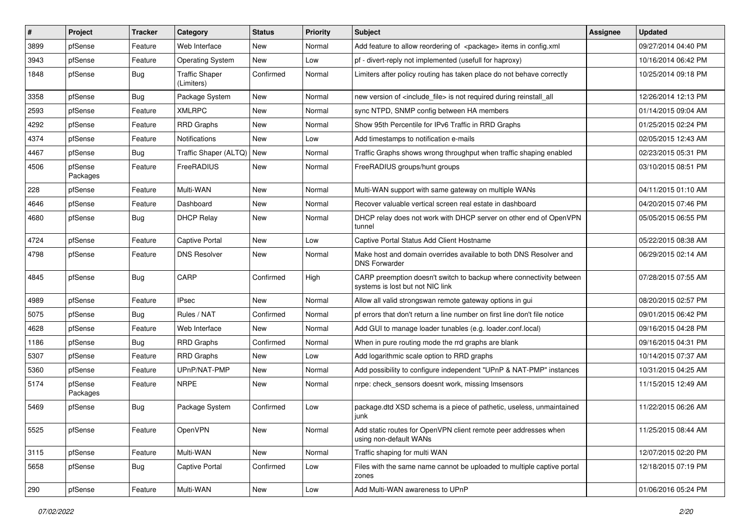| $\vert$ # | Project             | <b>Tracker</b> | Category                            | <b>Status</b> | Priority | Subject                                                                                                 | Assignee | <b>Updated</b>      |
|-----------|---------------------|----------------|-------------------------------------|---------------|----------|---------------------------------------------------------------------------------------------------------|----------|---------------------|
| 3899      | pfSense             | Feature        | Web Interface                       | New           | Normal   | Add feature to allow reordering of <package> items in config.xml</package>                              |          | 09/27/2014 04:40 PM |
| 3943      | pfSense             | Feature        | <b>Operating System</b>             | <b>New</b>    | Low      | pf - divert-reply not implemented (usefull for haproxy)                                                 |          | 10/16/2014 06:42 PM |
| 1848      | pfSense             | Bug            | <b>Traffic Shaper</b><br>(Limiters) | Confirmed     | Normal   | Limiters after policy routing has taken place do not behave correctly                                   |          | 10/25/2014 09:18 PM |
| 3358      | pfSense             | Bug            | Package System                      | <b>New</b>    | Normal   | new version of <include_file> is not required during reinstall_all</include_file>                       |          | 12/26/2014 12:13 PM |
| 2593      | pfSense             | Feature        | <b>XMLRPC</b>                       | <b>New</b>    | Normal   | sync NTPD, SNMP config between HA members                                                               |          | 01/14/2015 09:04 AM |
| 4292      | pfSense             | Feature        | <b>RRD Graphs</b>                   | New           | Normal   | Show 95th Percentile for IPv6 Traffic in RRD Graphs                                                     |          | 01/25/2015 02:24 PM |
| 4374      | pfSense             | Feature        | Notifications                       | <b>New</b>    | Low      | Add timestamps to notification e-mails                                                                  |          | 02/05/2015 12:43 AM |
| 4467      | pfSense             | Bug            | Traffic Shaper (ALTQ)               | New           | Normal   | Traffic Graphs shows wrong throughput when traffic shaping enabled                                      |          | 02/23/2015 05:31 PM |
| 4506      | pfSense<br>Packages | Feature        | <b>FreeRADIUS</b>                   | <b>New</b>    | Normal   | FreeRADIUS groups/hunt groups                                                                           |          | 03/10/2015 08:51 PM |
| 228       | pfSense             | Feature        | Multi-WAN                           | <b>New</b>    | Normal   | Multi-WAN support with same gateway on multiple WANs                                                    |          | 04/11/2015 01:10 AM |
| 4646      | pfSense             | Feature        | Dashboard                           | <b>New</b>    | Normal   | Recover valuable vertical screen real estate in dashboard                                               |          | 04/20/2015 07:46 PM |
| 4680      | pfSense             | <b>Bug</b>     | <b>DHCP Relay</b>                   | New           | Normal   | DHCP relay does not work with DHCP server on other end of OpenVPN<br>tunnel                             |          | 05/05/2015 06:55 PM |
| 4724      | pfSense             | Feature        | Captive Portal                      | <b>New</b>    | Low      | Captive Portal Status Add Client Hostname                                                               |          | 05/22/2015 08:38 AM |
| 4798      | pfSense             | Feature        | <b>DNS Resolver</b>                 | New           | Normal   | Make host and domain overrides available to both DNS Resolver and<br><b>DNS Forwarder</b>               |          | 06/29/2015 02:14 AM |
| 4845      | pfSense             | <b>Bug</b>     | CARP                                | Confirmed     | High     | CARP preemption doesn't switch to backup where connectivity between<br>systems is lost but not NIC link |          | 07/28/2015 07:55 AM |
| 4989      | pfSense             | Feature        | <b>IPsec</b>                        | <b>New</b>    | Normal   | Allow all valid strongswan remote gateway options in gui                                                |          | 08/20/2015 02:57 PM |
| 5075      | pfSense             | <b>Bug</b>     | Rules / NAT                         | Confirmed     | Normal   | pf errors that don't return a line number on first line don't file notice                               |          | 09/01/2015 06:42 PM |
| 4628      | pfSense             | Feature        | Web Interface                       | New           | Normal   | Add GUI to manage loader tunables (e.g. loader.conf.local)                                              |          | 09/16/2015 04:28 PM |
| 1186      | pfSense             | Bug            | <b>RRD Graphs</b>                   | Confirmed     | Normal   | When in pure routing mode the rrd graphs are blank                                                      |          | 09/16/2015 04:31 PM |
| 5307      | pfSense             | Feature        | <b>RRD Graphs</b>                   | New           | Low      | Add logarithmic scale option to RRD graphs                                                              |          | 10/14/2015 07:37 AM |
| 5360      | pfSense             | Feature        | UPnP/NAT-PMP                        | <b>New</b>    | Normal   | Add possibility to configure independent "UPnP & NAT-PMP" instances                                     |          | 10/31/2015 04:25 AM |
| 5174      | pfSense<br>Packages | Feature        | <b>NRPE</b>                         | New           | Normal   | nrpe: check sensors doesnt work, missing Imsensors                                                      |          | 11/15/2015 12:49 AM |
| 5469      | pfSense             | <b>Bug</b>     | Package System                      | Confirmed     | Low      | package.dtd XSD schema is a piece of pathetic, useless, unmaintained<br>junk                            |          | 11/22/2015 06:26 AM |
| 5525      | pfSense             | Feature        | OpenVPN                             | New           | Normal   | Add static routes for OpenVPN client remote peer addresses when<br>using non-default WANs               |          | 11/25/2015 08:44 AM |
| 3115      | pfSense             | Feature        | Multi-WAN                           | New           | Normal   | Traffic shaping for multi WAN                                                                           |          | 12/07/2015 02:20 PM |
| 5658      | pfSense             | Bug            | <b>Captive Portal</b>               | Confirmed     | Low      | Files with the same name cannot be uploaded to multiple captive portal<br>zones                         |          | 12/18/2015 07:19 PM |
| 290       | pfSense             | Feature        | Multi-WAN                           | New           | Low      | Add Multi-WAN awareness to UPnP                                                                         |          | 01/06/2016 05:24 PM |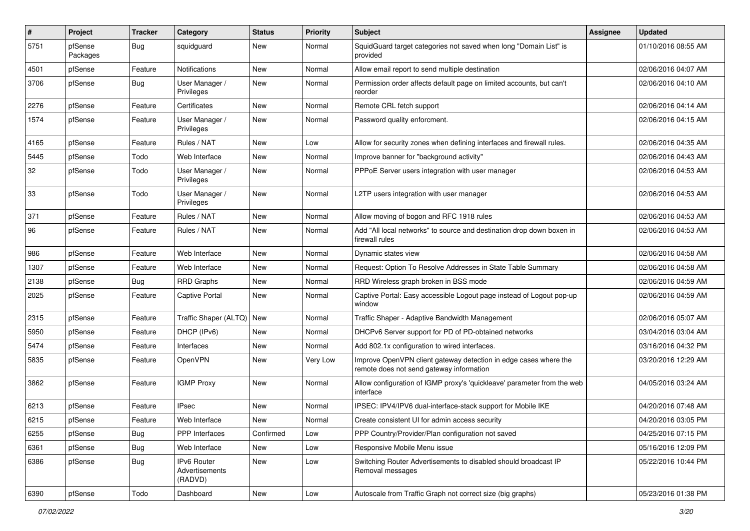| $\sharp$ | Project             | <b>Tracker</b> | Category                                 | <b>Status</b> | <b>Priority</b> | <b>Subject</b>                                                                                               | <b>Assignee</b> | <b>Updated</b>      |
|----------|---------------------|----------------|------------------------------------------|---------------|-----------------|--------------------------------------------------------------------------------------------------------------|-----------------|---------------------|
| 5751     | pfSense<br>Packages | <b>Bug</b>     | squidguard                               | New           | Normal          | SquidGuard target categories not saved when long "Domain List" is<br>provided                                |                 | 01/10/2016 08:55 AM |
| 4501     | pfSense             | Feature        | Notifications                            | New           | Normal          | Allow email report to send multiple destination                                                              |                 | 02/06/2016 04:07 AM |
| 3706     | pfSense             | <b>Bug</b>     | User Manager /<br>Privileges             | New           | Normal          | Permission order affects default page on limited accounts, but can't<br>reorder                              |                 | 02/06/2016 04:10 AM |
| 2276     | pfSense             | Feature        | Certificates                             | <b>New</b>    | Normal          | Remote CRL fetch support                                                                                     |                 | 02/06/2016 04:14 AM |
| 1574     | pfSense             | Feature        | User Manager /<br>Privileges             | New           | Normal          | Password quality enforcment.                                                                                 |                 | 02/06/2016 04:15 AM |
| 4165     | pfSense             | Feature        | Rules / NAT                              | New           | Low             | Allow for security zones when defining interfaces and firewall rules.                                        |                 | 02/06/2016 04:35 AM |
| 5445     | pfSense             | Todo           | Web Interface                            | <b>New</b>    | Normal          | Improve banner for "background activity"                                                                     |                 | 02/06/2016 04:43 AM |
| 32       | pfSense             | Todo           | User Manager /<br>Privileges             | New           | Normal          | PPPoE Server users integration with user manager                                                             |                 | 02/06/2016 04:53 AM |
| 33       | pfSense             | Todo           | User Manager /<br>Privileges             | <b>New</b>    | Normal          | L2TP users integration with user manager                                                                     |                 | 02/06/2016 04:53 AM |
| 371      | pfSense             | Feature        | Rules / NAT                              | New           | Normal          | Allow moving of bogon and RFC 1918 rules                                                                     |                 | 02/06/2016 04:53 AM |
| 96       | pfSense             | Feature        | Rules / NAT                              | <b>New</b>    | Normal          | Add "All local networks" to source and destination drop down boxen in<br>firewall rules                      |                 | 02/06/2016 04:53 AM |
| 986      | pfSense             | Feature        | Web Interface                            | <b>New</b>    | Normal          | Dynamic states view                                                                                          |                 | 02/06/2016 04:58 AM |
| 1307     | pfSense             | Feature        | Web Interface                            | New           | Normal          | Request: Option To Resolve Addresses in State Table Summary                                                  |                 | 02/06/2016 04:58 AM |
| 2138     | pfSense             | <b>Bug</b>     | <b>RRD Graphs</b>                        | New           | Normal          | RRD Wireless graph broken in BSS mode                                                                        |                 | 02/06/2016 04:59 AM |
| 2025     | pfSense             | Feature        | <b>Captive Portal</b>                    | <b>New</b>    | Normal          | Captive Portal: Easy accessible Logout page instead of Logout pop-up<br>window                               |                 | 02/06/2016 04:59 AM |
| 2315     | pfSense             | Feature        | Traffic Shaper (ALTQ)   New              |               | Normal          | Traffic Shaper - Adaptive Bandwidth Management                                                               |                 | 02/06/2016 05:07 AM |
| 5950     | pfSense             | Feature        | DHCP (IPv6)                              | <b>New</b>    | Normal          | DHCPv6 Server support for PD of PD-obtained networks                                                         |                 | 03/04/2016 03:04 AM |
| 5474     | pfSense             | Feature        | Interfaces                               | New           | Normal          | Add 802.1x configuration to wired interfaces.                                                                |                 | 03/16/2016 04:32 PM |
| 5835     | pfSense             | Feature        | OpenVPN                                  | New           | Very Low        | Improve OpenVPN client gateway detection in edge cases where the<br>remote does not send gateway information |                 | 03/20/2016 12:29 AM |
| 3862     | pfSense             | Feature        | <b>IGMP Proxy</b>                        | New           | Normal          | Allow configuration of IGMP proxy's 'quickleave' parameter from the web<br>interface                         |                 | 04/05/2016 03:24 AM |
| 6213     | pfSense             | Feature        | <b>IPsec</b>                             | New           | Normal          | IPSEC: IPV4/IPV6 dual-interface-stack support for Mobile IKE                                                 |                 | 04/20/2016 07:48 AM |
| 6215     | pfSense             | Feature        | Web Interface                            | New           | Normal          | Create consistent UI for admin access security                                                               |                 | 04/20/2016 03:05 PM |
| 6255     | pfSense             | Bug            | PPP Interfaces                           | Confirmed     | Low             | PPP Country/Provider/Plan configuration not saved                                                            |                 | 04/25/2016 07:15 PM |
| 6361     | pfSense             | <b>Bug</b>     | Web Interface                            | New           | Low             | Responsive Mobile Menu issue                                                                                 |                 | 05/16/2016 12:09 PM |
| 6386     | pfSense             | <b>Bug</b>     | IPv6 Router<br>Advertisements<br>(RADVD) | New           | Low             | Switching Router Advertisements to disabled should broadcast IP<br>Removal messages                          |                 | 05/22/2016 10:44 PM |
| 6390     | pfSense             | Todo           | Dashboard                                | New           | Low             | Autoscale from Traffic Graph not correct size (big graphs)                                                   |                 | 05/23/2016 01:38 PM |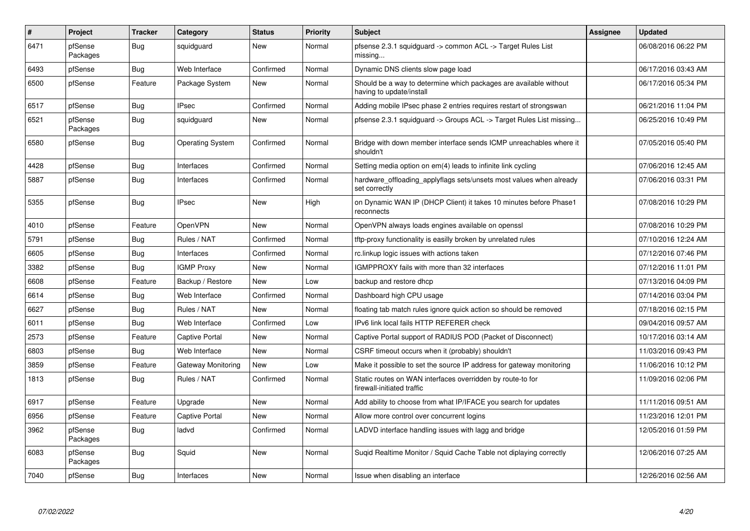| #    | Project             | <b>Tracker</b> | Category                | <b>Status</b> | <b>Priority</b> | <b>Subject</b>                                                                                | <b>Assignee</b> | <b>Updated</b>      |
|------|---------------------|----------------|-------------------------|---------------|-----------------|-----------------------------------------------------------------------------------------------|-----------------|---------------------|
| 6471 | pfSense<br>Packages | <b>Bug</b>     | squidquard              | <b>New</b>    | Normal          | pfsense 2.3.1 squidguard -> common ACL -> Target Rules List<br>missing                        |                 | 06/08/2016 06:22 PM |
| 6493 | pfSense             | Bug            | Web Interface           | Confirmed     | Normal          | Dynamic DNS clients slow page load                                                            |                 | 06/17/2016 03:43 AM |
| 6500 | pfSense             | Feature        | Package System          | <b>New</b>    | Normal          | Should be a way to determine which packages are available without<br>having to update/install |                 | 06/17/2016 05:34 PM |
| 6517 | pfSense             | Bug            | <b>IPsec</b>            | Confirmed     | Normal          | Adding mobile IPsec phase 2 entries requires restart of strongswan                            |                 | 06/21/2016 11:04 PM |
| 6521 | pfSense<br>Packages | Bug            | squidquard              | <b>New</b>    | Normal          | pfsense 2.3.1 squidquard -> Groups ACL -> Target Rules List missing                           |                 | 06/25/2016 10:49 PM |
| 6580 | pfSense             | <b>Bug</b>     | <b>Operating System</b> | Confirmed     | Normal          | Bridge with down member interface sends ICMP unreachables where it<br>shouldn't               |                 | 07/05/2016 05:40 PM |
| 4428 | pfSense             | Bug            | Interfaces              | Confirmed     | Normal          | Setting media option on em(4) leads to infinite link cycling                                  |                 | 07/06/2016 12:45 AM |
| 5887 | pfSense             | <b>Bug</b>     | Interfaces              | Confirmed     | Normal          | hardware_offloading_applyflags sets/unsets most values when already<br>set correctly          |                 | 07/06/2016 03:31 PM |
| 5355 | pfSense             | Bug            | <b>IPsec</b>            | <b>New</b>    | High            | on Dynamic WAN IP (DHCP Client) it takes 10 minutes before Phase1<br>reconnects               |                 | 07/08/2016 10:29 PM |
| 4010 | pfSense             | Feature        | OpenVPN                 | <b>New</b>    | Normal          | OpenVPN always loads engines available on openssl                                             |                 | 07/08/2016 10:29 PM |
| 5791 | pfSense             | <b>Bug</b>     | Rules / NAT             | Confirmed     | Normal          | tftp-proxy functionality is easilly broken by unrelated rules                                 |                 | 07/10/2016 12:24 AM |
| 6605 | pfSense             | Bug            | Interfaces              | Confirmed     | Normal          | rc.linkup logic issues with actions taken                                                     |                 | 07/12/2016 07:46 PM |
| 3382 | pfSense             | Bug            | <b>IGMP Proxy</b>       | <b>New</b>    | Normal          | IGMPPROXY fails with more than 32 interfaces                                                  |                 | 07/12/2016 11:01 PM |
| 6608 | pfSense             | Feature        | Backup / Restore        | <b>New</b>    | Low             | backup and restore dhcp                                                                       |                 | 07/13/2016 04:09 PM |
| 6614 | pfSense             | <b>Bug</b>     | Web Interface           | Confirmed     | Normal          | Dashboard high CPU usage                                                                      |                 | 07/14/2016 03:04 PM |
| 6627 | pfSense             | Bug            | Rules / NAT             | <b>New</b>    | Normal          | floating tab match rules ignore quick action so should be removed                             |                 | 07/18/2016 02:15 PM |
| 6011 | pfSense             | <b>Bug</b>     | Web Interface           | Confirmed     | Low             | IPv6 link local fails HTTP REFERER check                                                      |                 | 09/04/2016 09:57 AM |
| 2573 | pfSense             | Feature        | Captive Portal          | New           | Normal          | Captive Portal support of RADIUS POD (Packet of Disconnect)                                   |                 | 10/17/2016 03:14 AM |
| 6803 | pfSense             | Bug            | Web Interface           | New           | Normal          | CSRF timeout occurs when it (probably) shouldn't                                              |                 | 11/03/2016 09:43 PM |
| 3859 | pfSense             | Feature        | Gateway Monitoring      | <b>New</b>    | Low             | Make it possible to set the source IP address for gateway monitoring                          |                 | 11/06/2016 10:12 PM |
| 1813 | pfSense             | <b>Bug</b>     | Rules / NAT             | Confirmed     | Normal          | Static routes on WAN interfaces overridden by route-to for<br>firewall-initiated traffic      |                 | 11/09/2016 02:06 PM |
| 6917 | pfSense             | Feature        | Upgrade                 | <b>New</b>    | Normal          | Add ability to choose from what IP/IFACE you search for updates                               |                 | 11/11/2016 09:51 AM |
| 6956 | pfSense             | Feature        | <b>Captive Portal</b>   | <b>New</b>    | Normal          | Allow more control over concurrent logins                                                     |                 | 11/23/2016 12:01 PM |
| 3962 | pfSense<br>Packages | <b>Bug</b>     | ladvd                   | Confirmed     | Normal          | LADVD interface handling issues with lagg and bridge                                          |                 | 12/05/2016 01:59 PM |
| 6083 | pfSense<br>Packages | <b>Bug</b>     | Squid                   | <b>New</b>    | Normal          | Sugid Realtime Monitor / Squid Cache Table not diplaying correctly                            |                 | 12/06/2016 07:25 AM |
| 7040 | pfSense             | Bug            | Interfaces              | <b>New</b>    | Normal          | Issue when disabling an interface                                                             |                 | 12/26/2016 02:56 AM |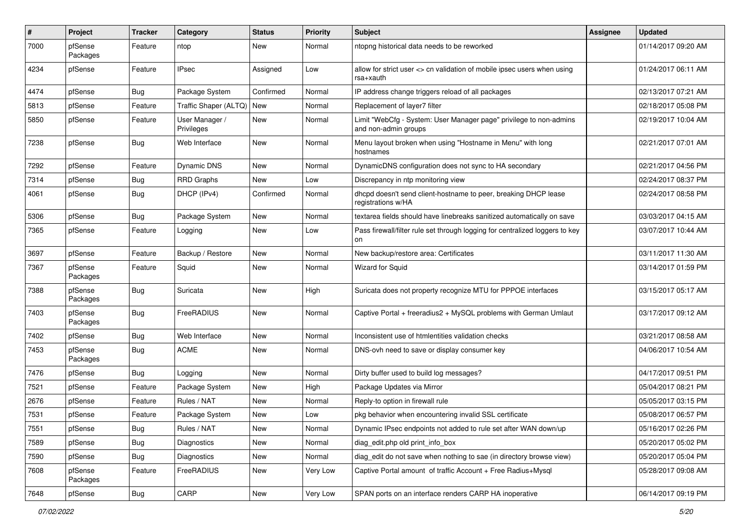| #    | Project             | <b>Tracker</b> | Category                     | <b>Status</b> | <b>Priority</b> | <b>Subject</b>                                                                             | <b>Assignee</b> | <b>Updated</b>      |
|------|---------------------|----------------|------------------------------|---------------|-----------------|--------------------------------------------------------------------------------------------|-----------------|---------------------|
| 7000 | pfSense<br>Packages | Feature        | ntop                         | New           | Normal          | ntopng historical data needs to be reworked                                                |                 | 01/14/2017 09:20 AM |
| 4234 | pfSense             | Feature        | <b>IPsec</b>                 | Assigned      | Low             | allow for strict user <> cn validation of mobile ipsec users when using<br>rsa+xauth       |                 | 01/24/2017 06:11 AM |
| 4474 | pfSense             | <b>Bug</b>     | Package System               | Confirmed     | Normal          | IP address change triggers reload of all packages                                          |                 | 02/13/2017 07:21 AM |
| 5813 | pfSense             | Feature        | Traffic Shaper (ALTQ)        | New           | Normal          | Replacement of layer7 filter                                                               |                 | 02/18/2017 05:08 PM |
| 5850 | pfSense             | Feature        | User Manager /<br>Privileges | New           | Normal          | Limit "WebCfg - System: User Manager page" privilege to non-admins<br>and non-admin groups |                 | 02/19/2017 10:04 AM |
| 7238 | pfSense             | Bug            | Web Interface                | New           | Normal          | Menu layout broken when using "Hostname in Menu" with long<br>hostnames                    |                 | 02/21/2017 07:01 AM |
| 7292 | pfSense             | Feature        | <b>Dynamic DNS</b>           | New           | Normal          | DynamicDNS configuration does not sync to HA secondary                                     |                 | 02/21/2017 04:56 PM |
| 7314 | pfSense             | <b>Bug</b>     | <b>RRD Graphs</b>            | New           | Low             | Discrepancy in ntp monitoring view                                                         |                 | 02/24/2017 08:37 PM |
| 4061 | pfSense             | <b>Bug</b>     | DHCP (IPv4)                  | Confirmed     | Normal          | dhcpd doesn't send client-hostname to peer, breaking DHCP lease<br>registrations w/HA      |                 | 02/24/2017 08:58 PM |
| 5306 | pfSense             | Bug            | Package System               | New           | Normal          | textarea fields should have linebreaks sanitized automatically on save                     |                 | 03/03/2017 04:15 AM |
| 7365 | pfSense             | Feature        | Logging                      | New           | Low             | Pass firewall/filter rule set through logging for centralized loggers to key<br>on         |                 | 03/07/2017 10:44 AM |
| 3697 | pfSense             | Feature        | Backup / Restore             | New           | Normal          | New backup/restore area: Certificates                                                      |                 | 03/11/2017 11:30 AM |
| 7367 | pfSense<br>Packages | Feature        | Squid                        | New           | Normal          | Wizard for Squid                                                                           |                 | 03/14/2017 01:59 PM |
| 7388 | pfSense<br>Packages | <b>Bug</b>     | Suricata                     | New           | High            | Suricata does not property recognize MTU for PPPOE interfaces                              |                 | 03/15/2017 05:17 AM |
| 7403 | pfSense<br>Packages | <b>Bug</b>     | FreeRADIUS                   | New           | Normal          | Captive Portal + freeradius2 + MySQL problems with German Umlaut                           |                 | 03/17/2017 09:12 AM |
| 7402 | pfSense             | <b>Bug</b>     | Web Interface                | New           | Normal          | Inconsistent use of htmlentities validation checks                                         |                 | 03/21/2017 08:58 AM |
| 7453 | pfSense<br>Packages | Bug            | <b>ACME</b>                  | New           | Normal          | DNS-ovh need to save or display consumer key                                               |                 | 04/06/2017 10:54 AM |
| 7476 | pfSense             | Bug            | Logging                      | New           | Normal          | Dirty buffer used to build log messages?                                                   |                 | 04/17/2017 09:51 PM |
| 7521 | pfSense             | Feature        | Package System               | New           | High            | Package Updates via Mirror                                                                 |                 | 05/04/2017 08:21 PM |
| 2676 | pfSense             | Feature        | Rules / NAT                  | New           | Normal          | Reply-to option in firewall rule                                                           |                 | 05/05/2017 03:15 PM |
| 7531 | pfSense             | Feature        | Package System               | New           | Low             | pkg behavior when encountering invalid SSL certificate                                     |                 | 05/08/2017 06:57 PM |
| 7551 | pfSense             | <b>Bug</b>     | Rules / NAT                  | New           | Normal          | Dynamic IPsec endpoints not added to rule set after WAN down/up                            |                 | 05/16/2017 02:26 PM |
| 7589 | pfSense             | <b>Bug</b>     | Diagnostics                  | New           | Normal          | diag edit.php old print info box                                                           |                 | 05/20/2017 05:02 PM |
| 7590 | pfSense             | Bug            | Diagnostics                  | New           | Normal          | diag_edit do not save when nothing to sae (in directory browse view)                       |                 | 05/20/2017 05:04 PM |
| 7608 | pfSense<br>Packages | Feature        | FreeRADIUS                   | New           | Very Low        | Captive Portal amount of traffic Account + Free Radius+Mysql                               |                 | 05/28/2017 09:08 AM |
| 7648 | pfSense             | <b>Bug</b>     | CARP                         | New           | Very Low        | SPAN ports on an interface renders CARP HA inoperative                                     |                 | 06/14/2017 09:19 PM |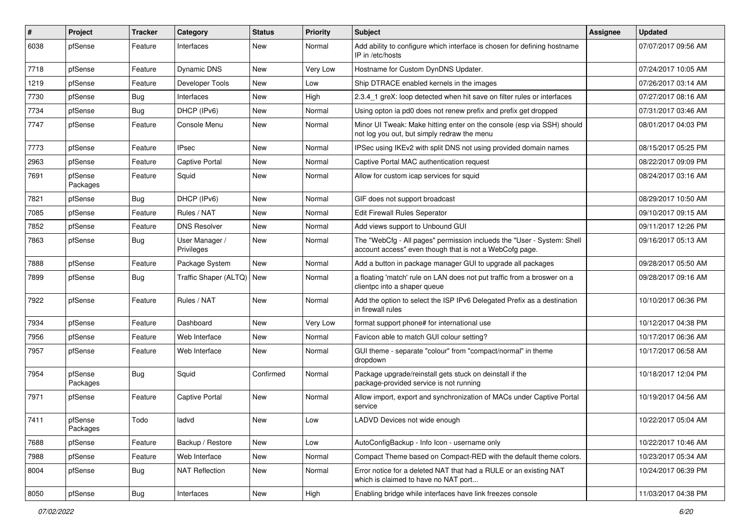| $\vert$ # | Project             | <b>Tracker</b> | Category                     | <b>Status</b> | <b>Priority</b> | <b>Subject</b>                                                                                                                    | <b>Assignee</b> | <b>Updated</b>      |
|-----------|---------------------|----------------|------------------------------|---------------|-----------------|-----------------------------------------------------------------------------------------------------------------------------------|-----------------|---------------------|
| 6038      | pfSense             | Feature        | Interfaces                   | New           | Normal          | Add ability to configure which interface is chosen for defining hostname<br>IP in /etc/hosts                                      |                 | 07/07/2017 09:56 AM |
| 7718      | pfSense             | Feature        | <b>Dynamic DNS</b>           | New           | Very Low        | Hostname for Custom DynDNS Updater.                                                                                               |                 | 07/24/2017 10:05 AM |
| 1219      | pfSense             | Feature        | Developer Tools              | New           | Low             | Ship DTRACE enabled kernels in the images                                                                                         |                 | 07/26/2017 03:14 AM |
| 7730      | pfSense             | Bug            | Interfaces                   | <b>New</b>    | High            | 2.3.4_1 greX: loop detected when hit save on filter rules or interfaces                                                           |                 | 07/27/2017 08:16 AM |
| 7734      | pfSense             | Bug            | DHCP (IPv6)                  | New           | Normal          | Using opton ia pd0 does not renew prefix and prefix get dropped                                                                   |                 | 07/31/2017 03:46 AM |
| 7747      | pfSense             | Feature        | Console Menu                 | New           | Normal          | Minor UI Tweak: Make hitting enter on the console (esp via SSH) should<br>not log you out, but simply redraw the menu             |                 | 08/01/2017 04:03 PM |
| 7773      | pfSense             | Feature        | <b>IPsec</b>                 | <b>New</b>    | Normal          | IPSec using IKEv2 with split DNS not using provided domain names                                                                  |                 | 08/15/2017 05:25 PM |
| 2963      | pfSense             | Feature        | <b>Captive Portal</b>        | <b>New</b>    | Normal          | Captive Portal MAC authentication request                                                                                         |                 | 08/22/2017 09:09 PM |
| 7691      | pfSense<br>Packages | Feature        | Squid                        | <b>New</b>    | Normal          | Allow for custom icap services for squid                                                                                          |                 | 08/24/2017 03:16 AM |
| 7821      | pfSense             | <b>Bug</b>     | DHCP (IPv6)                  | <b>New</b>    | Normal          | GIF does not support broadcast                                                                                                    |                 | 08/29/2017 10:50 AM |
| 7085      | pfSense             | Feature        | Rules / NAT                  | New           | Normal          | <b>Edit Firewall Rules Seperator</b>                                                                                              |                 | 09/10/2017 09:15 AM |
| 7852      | pfSense             | Feature        | <b>DNS Resolver</b>          | New           | Normal          | Add views support to Unbound GUI                                                                                                  |                 | 09/11/2017 12:26 PM |
| 7863      | pfSense             | Bug            | User Manager /<br>Privileges | <b>New</b>    | Normal          | The "WebCfg - All pages" permission inclueds the "User - System: Shell<br>account access" even though that is not a WebCofg page. |                 | 09/16/2017 05:13 AM |
| 7888      | pfSense             | Feature        | Package System               | <b>New</b>    | Normal          | Add a button in package manager GUI to upgrade all packages                                                                       |                 | 09/28/2017 05:50 AM |
| 7899      | pfSense             | Bug            | Traffic Shaper (ALTQ)        | New           | Normal          | a floating 'match' rule on LAN does not put traffic from a broswer on a<br>clientpc into a shaper queue                           |                 | 09/28/2017 09:16 AM |
| 7922      | pfSense             | Feature        | Rules / NAT                  | <b>New</b>    | Normal          | Add the option to select the ISP IPv6 Delegated Prefix as a destination<br>in firewall rules                                      |                 | 10/10/2017 06:36 PM |
| 7934      | pfSense             | Feature        | Dashboard                    | New           | Very Low        | format support phone# for international use                                                                                       |                 | 10/12/2017 04:38 PM |
| 7956      | pfSense             | Feature        | Web Interface                | <b>New</b>    | Normal          | Favicon able to match GUI colour setting?                                                                                         |                 | 10/17/2017 06:36 AM |
| 7957      | pfSense             | Feature        | Web Interface                | <b>New</b>    | Normal          | GUI theme - separate "colour" from "compact/normal" in theme<br>dropdown                                                          |                 | 10/17/2017 06:58 AM |
| 7954      | pfSense<br>Packages | <b>Bug</b>     | Squid                        | Confirmed     | Normal          | Package upgrade/reinstall gets stuck on deinstall if the<br>package-provided service is not running                               |                 | 10/18/2017 12:04 PM |
| 7971      | pfSense             | Feature        | <b>Captive Portal</b>        | <b>New</b>    | Normal          | Allow import, export and synchronization of MACs under Captive Portal<br>service                                                  |                 | 10/19/2017 04:56 AM |
| 7411      | pfSense<br>Packages | Todo           | ladvd                        | New           | Low             | LADVD Devices not wide enough                                                                                                     |                 | 10/22/2017 05:04 AM |
| 7688      | pfSense             | Feature        | Backup / Restore             | New           | Low             | AutoConfigBackup - Info Icon - username only                                                                                      |                 | 10/22/2017 10:46 AM |
| 7988      | pfSense             | Feature        | Web Interface                | New           | Normal          | Compact Theme based on Compact-RED with the default theme colors.                                                                 |                 | 10/23/2017 05:34 AM |
| 8004      | pfSense             | <b>Bug</b>     | <b>NAT Reflection</b>        | New           | Normal          | Error notice for a deleted NAT that had a RULE or an existing NAT<br>which is claimed to have no NAT port                         |                 | 10/24/2017 06:39 PM |
| 8050      | pfSense             | <b>Bug</b>     | Interfaces                   | New           | High            | Enabling bridge while interfaces have link freezes console                                                                        |                 | 11/03/2017 04:38 PM |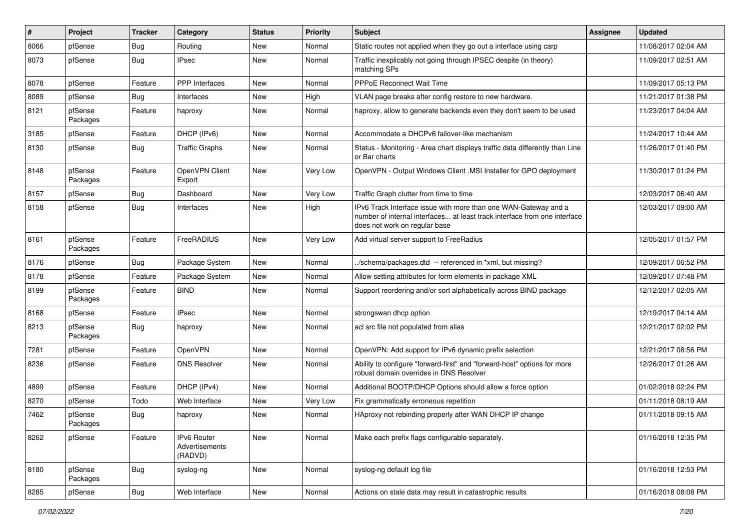| #    | Project             | <b>Tracker</b> | Category                                 | <b>Status</b> | <b>Priority</b> | <b>Subject</b>                                                                                                                                                                | Assignee | <b>Updated</b>      |
|------|---------------------|----------------|------------------------------------------|---------------|-----------------|-------------------------------------------------------------------------------------------------------------------------------------------------------------------------------|----------|---------------------|
| 8066 | pfSense             | Bug            | Routing                                  | New           | Normal          | Static routes not applied when they go out a interface using carp                                                                                                             |          | 11/08/2017 02:04 AM |
| 8073 | pfSense             | <b>Bug</b>     | <b>IPsec</b>                             | New           | Normal          | Traffic inexplicably not going through IPSEC despite (in theory)<br>matching SPs                                                                                              |          | 11/09/2017 02:51 AM |
| 8078 | pfSense             | Feature        | PPP Interfaces                           | New           | Normal          | <b>PPPoE Reconnect Wait Time</b>                                                                                                                                              |          | 11/09/2017 05:13 PM |
| 8089 | pfSense             | <b>Bug</b>     | Interfaces                               | <b>New</b>    | High            | VLAN page breaks after config restore to new hardware.                                                                                                                        |          | 11/21/2017 01:38 PM |
| 8121 | pfSense<br>Packages | Feature        | haproxy                                  | New           | Normal          | haproxy, allow to generate backends even they don't seem to be used                                                                                                           |          | 11/23/2017 04:04 AM |
| 3185 | pfSense             | Feature        | DHCP (IPv6)                              | New           | Normal          | Accommodate a DHCPv6 failover-like mechanism                                                                                                                                  |          | 11/24/2017 10:44 AM |
| 8130 | pfSense             | Bug            | <b>Traffic Graphs</b>                    | New           | Normal          | Status - Monitoring - Area chart displays traffic data differently than Line<br>or Bar charts                                                                                 |          | 11/26/2017 01:40 PM |
| 8148 | pfSense<br>Packages | Feature        | OpenVPN Client<br>Export                 | New           | Very Low        | OpenVPN - Output Windows Client .MSI Installer for GPO deployment                                                                                                             |          | 11/30/2017 01:24 PM |
| 8157 | pfSense             | <b>Bug</b>     | Dashboard                                | New           | Very Low        | Traffic Graph clutter from time to time                                                                                                                                       |          | 12/03/2017 06:40 AM |
| 8158 | pfSense             | Bug            | Interfaces                               | New           | High            | IPv6 Track Interface issue with more than one WAN-Gateway and a<br>number of internal interfaces at least track interface from one interface<br>does not work on regular base |          | 12/03/2017 09:00 AM |
| 8161 | pfSense<br>Packages | Feature        | FreeRADIUS                               | New           | Very Low        | Add virtual server support to FreeRadius                                                                                                                                      |          | 12/05/2017 01:57 PM |
| 8176 | pfSense             | Bug            | Package System                           | New           | Normal          | ./schema/packages.dtd -- referenced in *xml, but missing?                                                                                                                     |          | 12/09/2017 06:52 PM |
| 8178 | pfSense             | Feature        | Package System                           | New           | Normal          | Allow setting attributes for form elements in package XML                                                                                                                     |          | 12/09/2017 07:48 PM |
| 8199 | pfSense<br>Packages | Feature        | <b>BIND</b>                              | New           | Normal          | Support reordering and/or sort alphabetically across BIND package                                                                                                             |          | 12/12/2017 02:05 AM |
| 8168 | pfSense             | Feature        | <b>IPsec</b>                             | New           | Normal          | strongswan dhcp option                                                                                                                                                        |          | 12/19/2017 04:14 AM |
| 8213 | pfSense<br>Packages | Bug            | haproxy                                  | New           | Normal          | acl src file not populated from alias                                                                                                                                         |          | 12/21/2017 02:02 PM |
| 7281 | pfSense             | Feature        | OpenVPN                                  | New           | Normal          | OpenVPN: Add support for IPv6 dynamic prefix selection                                                                                                                        |          | 12/21/2017 08:56 PM |
| 8236 | pfSense             | Feature        | <b>DNS Resolver</b>                      | New           | Normal          | Ability to configure "forward-first" and "forward-host" options for more<br>robust domain overrides in DNS Resolver                                                           |          | 12/26/2017 01:26 AM |
| 4899 | pfSense             | Feature        | DHCP (IPv4)                              | <b>New</b>    | Normal          | Additional BOOTP/DHCP Options should allow a force option                                                                                                                     |          | 01/02/2018 02:24 PM |
| 8270 | pfSense             | Todo           | Web Interface                            | New           | Very Low        | Fix grammatically erroneous repetition                                                                                                                                        |          | 01/11/2018 08:19 AM |
| 7462 | pfSense<br>Packages | Bug            | haproxy                                  | New           | Normal          | HAproxy not rebinding properly after WAN DHCP IP change                                                                                                                       |          | 01/11/2018 09:15 AM |
| 8262 | pfSense             | Feature        | IPv6 Router<br>Advertisements<br>(RADVD) | New           | Normal          | Make each prefix flags configurable separately.                                                                                                                               |          | 01/16/2018 12:35 PM |
| 8180 | pfSense<br>Packages | <b>Bug</b>     | syslog-ng                                | New           | Normal          | syslog-ng default log file                                                                                                                                                    |          | 01/16/2018 12:53 PM |
| 8285 | pfSense             | <b>Bug</b>     | Web Interface                            | New           | Normal          | Actions on stale data may result in catastrophic results                                                                                                                      |          | 01/16/2018 08:08 PM |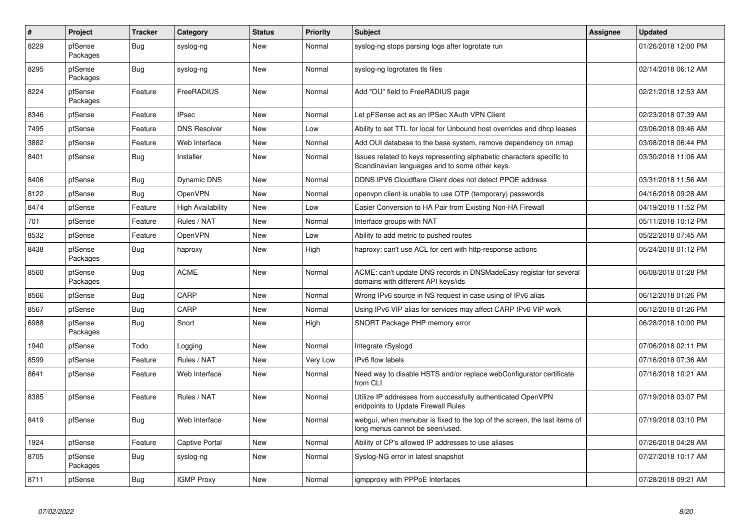| $\pmb{\#}$ | Project             | <b>Tracker</b> | Category              | <b>Status</b> | <b>Priority</b> | <b>Subject</b>                                                                                                          | Assignee | <b>Updated</b>      |
|------------|---------------------|----------------|-----------------------|---------------|-----------------|-------------------------------------------------------------------------------------------------------------------------|----------|---------------------|
| 8229       | pfSense<br>Packages | <b>Bug</b>     | syslog-ng             | <b>New</b>    | Normal          | syslog-ng stops parsing logs after logrotate run                                                                        |          | 01/26/2018 12:00 PM |
| 8295       | pfSense<br>Packages | <b>Bug</b>     | syslog-ng             | <b>New</b>    | Normal          | syslog-ng logrotates tls files                                                                                          |          | 02/14/2018 06:12 AM |
| 8224       | pfSense<br>Packages | Feature        | FreeRADIUS            | New           | Normal          | Add "OU" field to FreeRADIUS page                                                                                       |          | 02/21/2018 12:53 AM |
| 8346       | pfSense             | Feature        | <b>IPsec</b>          | New           | Normal          | Let pFSense act as an IPSec XAuth VPN Client                                                                            |          | 02/23/2018 07:39 AM |
| 7495       | pfSense             | Feature        | <b>DNS Resolver</b>   | <b>New</b>    | Low             | Ability to set TTL for local for Unbound host overrides and dhcp leases                                                 |          | 03/06/2018 09:46 AM |
| 3882       | pfSense             | Feature        | Web Interface         | New           | Normal          | Add OUI database to the base system, remove dependency on nmap                                                          |          | 03/08/2018 06:44 PM |
| 8401       | pfSense             | <b>Bug</b>     | Installer             | <b>New</b>    | Normal          | Issues related to keys representing alphabetic characters specific to<br>Scandinavian languages and to some other keys. |          | 03/30/2018 11:06 AM |
| 8406       | pfSense             | <b>Bug</b>     | Dynamic DNS           | <b>New</b>    | Normal          | DDNS IPV6 Cloudflare Client does not detect PPOE address                                                                |          | 03/31/2018 11:56 AM |
| 8122       | pfSense             | Bug            | OpenVPN               | <b>New</b>    | Normal          | openypn client is unable to use OTP (temporary) passwords                                                               |          | 04/16/2018 09:28 AM |
| 8474       | pfSense             | Feature        | High Availability     | New           | Low             | Easier Conversion to HA Pair from Existing Non-HA Firewall                                                              |          | 04/19/2018 11:52 PM |
| 701        | pfSense             | Feature        | Rules / NAT           | <b>New</b>    | Normal          | Interface groups with NAT                                                                                               |          | 05/11/2018 10:12 PM |
| 8532       | pfSense             | Feature        | <b>OpenVPN</b>        | New           | Low             | Ability to add metric to pushed routes                                                                                  |          | 05/22/2018 07:45 AM |
| 8438       | pfSense<br>Packages | <b>Bug</b>     | haproxy               | <b>New</b>    | High            | haproxy: can't use ACL for cert with http-response actions                                                              |          | 05/24/2018 01:12 PM |
| 8560       | pfSense<br>Packages | <b>Bug</b>     | <b>ACME</b>           | <b>New</b>    | Normal          | ACME: can't update DNS records in DNSMadeEasy registar for several<br>domains with different API keys/ids               |          | 06/08/2018 01:28 PM |
| 8566       | pfSense             | Bug            | CARP                  | <b>New</b>    | Normal          | Wrong IPv6 source in NS request in case using of IPv6 alias                                                             |          | 06/12/2018 01:26 PM |
| 8567       | pfSense             | Bug            | CARP                  | New           | Normal          | Using IPv6 VIP alias for services may affect CARP IPv6 VIP work                                                         |          | 06/12/2018 01:26 PM |
| 6988       | pfSense<br>Packages | Bug            | Snort                 | New           | High            | SNORT Package PHP memory error                                                                                          |          | 06/28/2018 10:00 PM |
| 1940       | pfSense             | Todo           | Logging               | New           | Normal          | Integrate rSyslogd                                                                                                      |          | 07/06/2018 02:11 PM |
| 8599       | pfSense             | Feature        | Rules / NAT           | <b>New</b>    | Very Low        | <b>IPv6</b> flow labels                                                                                                 |          | 07/16/2018 07:36 AM |
| 8641       | pfSense             | Feature        | Web Interface         | <b>New</b>    | Normal          | Need way to disable HSTS and/or replace webConfigurator certificate<br>from CLI                                         |          | 07/16/2018 10:21 AM |
| 8385       | pfSense             | Feature        | Rules / NAT           | New           | Normal          | Utilize IP addresses from successfully authenticated OpenVPN<br>endpoints to Update Firewall Rules                      |          | 07/19/2018 03:07 PM |
| 8419       | pfSense             | Bug            | Web Interface         | New           | Normal          | webgui, when menubar is fixed to the top of the screen, the last items of<br>long menus cannot be seen/used.            |          | 07/19/2018 03:10 PM |
| 1924       | pfSense             | Feature        | <b>Captive Portal</b> | New           | Normal          | Ability of CP's allowed IP addresses to use aliases                                                                     |          | 07/26/2018 04:28 AM |
| 8705       | pfSense<br>Packages | <b>Bug</b>     | syslog-ng             | New           | Normal          | Syslog-NG error in latest snapshot                                                                                      |          | 07/27/2018 10:17 AM |
| 8711       | pfSense             | <b>Bug</b>     | <b>IGMP Proxy</b>     | New           | Normal          | igmpproxy with PPPoE Interfaces                                                                                         |          | 07/28/2018 09:21 AM |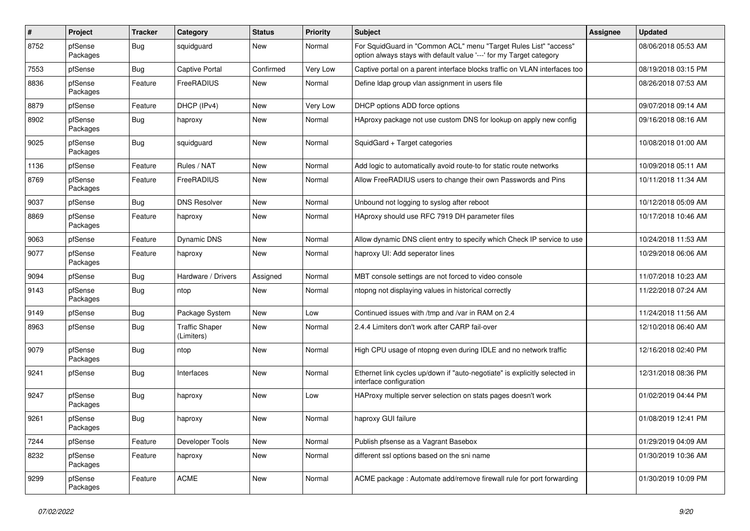| #    | Project             | <b>Tracker</b> | Category                            | <b>Status</b> | <b>Priority</b> | Subject                                                                                                                                 | <b>Assignee</b> | <b>Updated</b>      |
|------|---------------------|----------------|-------------------------------------|---------------|-----------------|-----------------------------------------------------------------------------------------------------------------------------------------|-----------------|---------------------|
| 8752 | pfSense<br>Packages | Bug            | squidguard                          | New           | Normal          | For SquidGuard in "Common ACL" menu "Target Rules List" "access"<br>option always stays with default value '---' for my Target category |                 | 08/06/2018 05:53 AM |
| 7553 | pfSense             | Bug            | Captive Portal                      | Confirmed     | Very Low        | Captive portal on a parent interface blocks traffic on VLAN interfaces too                                                              |                 | 08/19/2018 03:15 PM |
| 8836 | pfSense<br>Packages | Feature        | FreeRADIUS                          | <b>New</b>    | Normal          | Define Idap group vlan assignment in users file                                                                                         |                 | 08/26/2018 07:53 AM |
| 8879 | pfSense             | Feature        | DHCP (IPv4)                         | <b>New</b>    | Very Low        | DHCP options ADD force options                                                                                                          |                 | 09/07/2018 09:14 AM |
| 8902 | pfSense<br>Packages | <b>Bug</b>     | haproxy                             | New           | Normal          | HAproxy package not use custom DNS for lookup on apply new config                                                                       |                 | 09/16/2018 08:16 AM |
| 9025 | pfSense<br>Packages | Bug            | squidguard                          | <b>New</b>    | Normal          | SquidGard + Target categories                                                                                                           |                 | 10/08/2018 01:00 AM |
| 1136 | pfSense             | Feature        | Rules / NAT                         | <b>New</b>    | Normal          | Add logic to automatically avoid route-to for static route networks                                                                     |                 | 10/09/2018 05:11 AM |
| 8769 | pfSense<br>Packages | Feature        | FreeRADIUS                          | <b>New</b>    | Normal          | Allow FreeRADIUS users to change their own Passwords and Pins                                                                           |                 | 10/11/2018 11:34 AM |
| 9037 | pfSense             | Bug            | <b>DNS Resolver</b>                 | <b>New</b>    | Normal          | Unbound not logging to syslog after reboot                                                                                              |                 | 10/12/2018 05:09 AM |
| 8869 | pfSense<br>Packages | Feature        | haproxy                             | New           | Normal          | HAproxy should use RFC 7919 DH parameter files                                                                                          |                 | 10/17/2018 10:46 AM |
| 9063 | pfSense             | Feature        | <b>Dynamic DNS</b>                  | <b>New</b>    | Normal          | Allow dynamic DNS client entry to specify which Check IP service to use                                                                 |                 | 10/24/2018 11:53 AM |
| 9077 | pfSense<br>Packages | Feature        | haproxy                             | <b>New</b>    | Normal          | haproxy UI: Add seperator lines                                                                                                         |                 | 10/29/2018 06:06 AM |
| 9094 | pfSense             | Bug            | Hardware / Drivers                  | Assigned      | Normal          | MBT console settings are not forced to video console                                                                                    |                 | 11/07/2018 10:23 AM |
| 9143 | pfSense<br>Packages | Bug            | ntop                                | <b>New</b>    | Normal          | ntopng not displaying values in historical correctly                                                                                    |                 | 11/22/2018 07:24 AM |
| 9149 | pfSense             | <b>Bug</b>     | Package System                      | <b>New</b>    | Low             | Continued issues with /tmp and /var in RAM on 2.4                                                                                       |                 | 11/24/2018 11:56 AM |
| 8963 | pfSense             | <b>Bug</b>     | <b>Traffic Shaper</b><br>(Limiters) | New           | Normal          | 2.4.4 Limiters don't work after CARP fail-over                                                                                          |                 | 12/10/2018 06:40 AM |
| 9079 | pfSense<br>Packages | <b>Bug</b>     | ntop                                | <b>New</b>    | Normal          | High CPU usage of ntopng even during IDLE and no network traffic                                                                        |                 | 12/16/2018 02:40 PM |
| 9241 | pfSense             | Bug            | Interfaces                          | <b>New</b>    | Normal          | Ethernet link cycles up/down if "auto-negotiate" is explicitly selected in<br>interface configuration                                   |                 | 12/31/2018 08:36 PM |
| 9247 | pfSense<br>Packages | <b>Bug</b>     | haproxy                             | <b>New</b>    | Low             | HAProxy multiple server selection on stats pages doesn't work                                                                           |                 | 01/02/2019 04:44 PM |
| 9261 | pfSense<br>Packages | <b>Bug</b>     | haproxy                             | New           | Normal          | haproxy GUI failure                                                                                                                     |                 | 01/08/2019 12:41 PM |
| 7244 | pfSense             | Feature        | Developer Tools                     | New           | Normal          | Publish pfsense as a Vagrant Basebox                                                                                                    |                 | 01/29/2019 04:09 AM |
| 8232 | pfSense<br>Packages | Feature        | haproxy                             | New           | Normal          | different ssl options based on the sni name                                                                                             |                 | 01/30/2019 10:36 AM |
| 9299 | pfSense<br>Packages | Feature        | <b>ACME</b>                         | New           | Normal          | ACME package : Automate add/remove firewall rule for port forwarding                                                                    |                 | 01/30/2019 10:09 PM |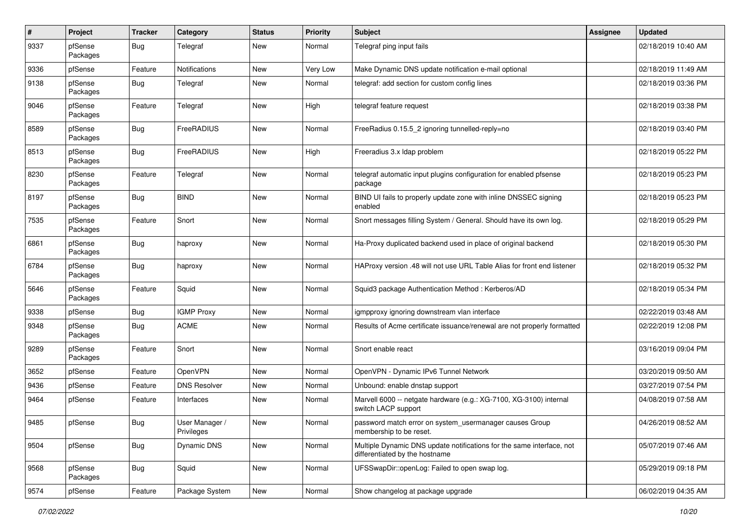| #    | Project             | <b>Tracker</b> | Category                     | <b>Status</b> | <b>Priority</b> | <b>Subject</b>                                                                                          | <b>Assignee</b> | <b>Updated</b>      |
|------|---------------------|----------------|------------------------------|---------------|-----------------|---------------------------------------------------------------------------------------------------------|-----------------|---------------------|
| 9337 | pfSense<br>Packages | Bug            | Telegraf                     | New           | Normal          | Telegraf ping input fails                                                                               |                 | 02/18/2019 10:40 AM |
| 9336 | pfSense             | Feature        | <b>Notifications</b>         | New           | Very Low        | Make Dynamic DNS update notification e-mail optional                                                    |                 | 02/18/2019 11:49 AM |
| 9138 | pfSense<br>Packages | Bug            | Telegraf                     | New           | Normal          | telegraf: add section for custom config lines                                                           |                 | 02/18/2019 03:36 PM |
| 9046 | pfSense<br>Packages | Feature        | Telegraf                     | New           | High            | telegraf feature request                                                                                |                 | 02/18/2019 03:38 PM |
| 8589 | pfSense<br>Packages | Bug            | FreeRADIUS                   | <b>New</b>    | Normal          | FreeRadius 0.15.5_2 ignoring tunnelled-reply=no                                                         |                 | 02/18/2019 03:40 PM |
| 8513 | pfSense<br>Packages | <b>Bug</b>     | FreeRADIUS                   | New           | High            | Freeradius 3.x Idap problem                                                                             |                 | 02/18/2019 05:22 PM |
| 8230 | pfSense<br>Packages | Feature        | Telegraf                     | New           | Normal          | telegraf automatic input plugins configuration for enabled pfsense<br>package                           |                 | 02/18/2019 05:23 PM |
| 8197 | pfSense<br>Packages | Bug            | <b>BIND</b>                  | New           | Normal          | BIND UI fails to properly update zone with inline DNSSEC signing<br>enabled                             |                 | 02/18/2019 05:23 PM |
| 7535 | pfSense<br>Packages | Feature        | Snort                        | <b>New</b>    | Normal          | Snort messages filling System / General. Should have its own log.                                       |                 | 02/18/2019 05:29 PM |
| 6861 | pfSense<br>Packages | <b>Bug</b>     | haproxy                      | New           | Normal          | Ha-Proxy duplicated backend used in place of original backend                                           |                 | 02/18/2019 05:30 PM |
| 6784 | pfSense<br>Packages | <b>Bug</b>     | haproxy                      | <b>New</b>    | Normal          | HAProxy version .48 will not use URL Table Alias for front end listener                                 |                 | 02/18/2019 05:32 PM |
| 5646 | pfSense<br>Packages | Feature        | Squid                        | <b>New</b>    | Normal          | Squid3 package Authentication Method: Kerberos/AD                                                       |                 | 02/18/2019 05:34 PM |
| 9338 | pfSense             | <b>Bug</b>     | <b>IGMP Proxy</b>            | New           | Normal          | igmpproxy ignoring downstream vlan interface                                                            |                 | 02/22/2019 03:48 AM |
| 9348 | pfSense<br>Packages | Bug            | <b>ACME</b>                  | New           | Normal          | Results of Acme certificate issuance/renewal are not properly formatted                                 |                 | 02/22/2019 12:08 PM |
| 9289 | pfSense<br>Packages | Feature        | Snort                        | <b>New</b>    | Normal          | Snort enable react                                                                                      |                 | 03/16/2019 09:04 PM |
| 3652 | pfSense             | Feature        | OpenVPN                      | <b>New</b>    | Normal          | OpenVPN - Dynamic IPv6 Tunnel Network                                                                   |                 | 03/20/2019 09:50 AM |
| 9436 | pfSense             | Feature        | <b>DNS Resolver</b>          | New           | Normal          | Unbound: enable dnstap support                                                                          |                 | 03/27/2019 07:54 PM |
| 9464 | pfSense             | Feature        | Interfaces                   | New           | Normal          | Marvell 6000 -- netgate hardware (e.g.: XG-7100, XG-3100) internal<br>switch LACP support               |                 | 04/08/2019 07:58 AM |
| 9485 | pfSense             | Bug            | User Manager /<br>Privileges | New           | Normal          | password match error on system_usermanager causes Group<br>membership to be reset.                      |                 | 04/26/2019 08:52 AM |
| 9504 | pfSense             | <b>Bug</b>     | Dynamic DNS                  | New           | Normal          | Multiple Dynamic DNS update notifications for the same interface, not<br>differentiated by the hostname |                 | 05/07/2019 07:46 AM |
| 9568 | pfSense<br>Packages | Bug            | Squid                        | <b>New</b>    | Normal          | UFSSwapDir::openLog: Failed to open swap log.                                                           |                 | 05/29/2019 09:18 PM |
| 9574 | pfSense             | Feature        | Package System               | New           | Normal          | Show changelog at package upgrade                                                                       |                 | 06/02/2019 04:35 AM |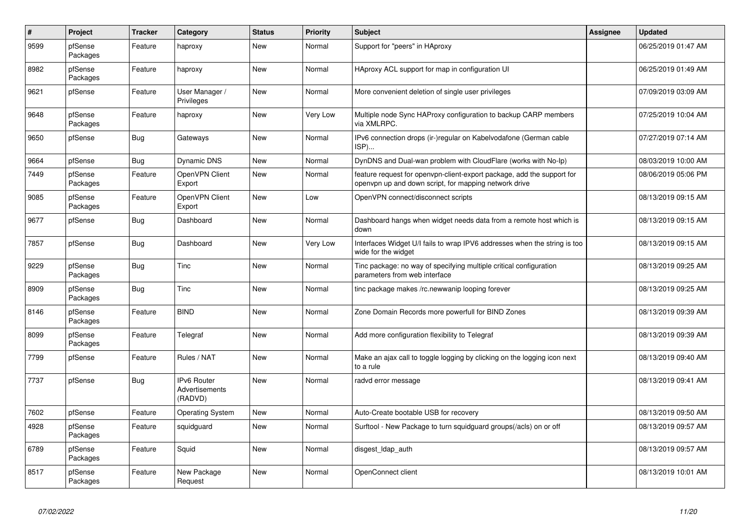| $\pmb{\#}$ | Project             | <b>Tracker</b> | Category                                 | <b>Status</b> | <b>Priority</b> | <b>Subject</b>                                                                                                                  | <b>Assignee</b> | <b>Updated</b>      |
|------------|---------------------|----------------|------------------------------------------|---------------|-----------------|---------------------------------------------------------------------------------------------------------------------------------|-----------------|---------------------|
| 9599       | pfSense<br>Packages | Feature        | haproxy                                  | <b>New</b>    | Normal          | Support for "peers" in HAproxy                                                                                                  |                 | 06/25/2019 01:47 AM |
| 8982       | pfSense<br>Packages | Feature        | haproxy                                  | New           | Normal          | HAproxy ACL support for map in configuration UI                                                                                 |                 | 06/25/2019 01:49 AM |
| 9621       | pfSense             | Feature        | User Manager /<br>Privileges             | New           | Normal          | More convenient deletion of single user privileges                                                                              |                 | 07/09/2019 03:09 AM |
| 9648       | pfSense<br>Packages | Feature        | haproxy                                  | New           | Very Low        | Multiple node Sync HAProxy configuration to backup CARP members<br>via XMLRPC.                                                  |                 | 07/25/2019 10:04 AM |
| 9650       | pfSense             | <b>Bug</b>     | Gateways                                 | <b>New</b>    | Normal          | IPv6 connection drops (ir-)regular on Kabelvodafone (German cable<br>ISP)                                                       |                 | 07/27/2019 07:14 AM |
| 9664       | pfSense             | <b>Bug</b>     | Dynamic DNS                              | <b>New</b>    | Normal          | DynDNS and Dual-wan problem with CloudFlare (works with No-Ip)                                                                  |                 | 08/03/2019 10:00 AM |
| 7449       | pfSense<br>Packages | Feature        | OpenVPN Client<br>Export                 | <b>New</b>    | Normal          | feature request for openypn-client-export package, add the support for<br>openvpn up and down script, for mapping network drive |                 | 08/06/2019 05:06 PM |
| 9085       | pfSense<br>Packages | Feature        | OpenVPN Client<br>Export                 | <b>New</b>    | Low             | OpenVPN connect/disconnect scripts                                                                                              |                 | 08/13/2019 09:15 AM |
| 9677       | pfSense             | <b>Bug</b>     | Dashboard                                | New           | Normal          | Dashboard hangs when widget needs data from a remote host which is<br>down                                                      |                 | 08/13/2019 09:15 AM |
| 7857       | pfSense             | <b>Bug</b>     | Dashboard                                | New           | Very Low        | Interfaces Widget U/I fails to wrap IPV6 addresses when the string is too<br>wide for the widget                                |                 | 08/13/2019 09:15 AM |
| 9229       | pfSense<br>Packages | <b>Bug</b>     | Tinc                                     | New           | Normal          | Tinc package: no way of specifying multiple critical configuration<br>parameters from web interface                             |                 | 08/13/2019 09:25 AM |
| 8909       | pfSense<br>Packages | <b>Bug</b>     | Tinc                                     | <b>New</b>    | Normal          | tinc package makes /rc.newwanip looping forever                                                                                 |                 | 08/13/2019 09:25 AM |
| 8146       | pfSense<br>Packages | Feature        | <b>BIND</b>                              | New           | Normal          | Zone Domain Records more powerfull for BIND Zones                                                                               |                 | 08/13/2019 09:39 AM |
| 8099       | pfSense<br>Packages | Feature        | Telegraf                                 | New           | Normal          | Add more configuration flexibility to Telegraf                                                                                  |                 | 08/13/2019 09:39 AM |
| 7799       | pfSense             | Feature        | Rules / NAT                              | New           | Normal          | Make an ajax call to toggle logging by clicking on the logging icon next<br>to a rule                                           |                 | 08/13/2019 09:40 AM |
| 7737       | pfSense             | <b>Bug</b>     | IPv6 Router<br>Advertisements<br>(RADVD) | <b>New</b>    | Normal          | radvd error message                                                                                                             |                 | 08/13/2019 09:41 AM |
| 7602       | pfSense             | Feature        | <b>Operating System</b>                  | <b>New</b>    | Normal          | Auto-Create bootable USB for recovery                                                                                           |                 | 08/13/2019 09:50 AM |
| 4928       | pfSense<br>Packages | Feature        | squidguard                               | New           | Normal          | Surftool - New Package to turn squidguard groups(/acls) on or off                                                               |                 | 08/13/2019 09:57 AM |
| 6789       | pfSense<br>Packages | Feature        | Squid                                    | <b>New</b>    | Normal          | disgest Idap auth                                                                                                               |                 | 08/13/2019 09:57 AM |
| 8517       | pfSense<br>Packages | Feature        | New Package<br>Request                   | New           | Normal          | OpenConnect client                                                                                                              |                 | 08/13/2019 10:01 AM |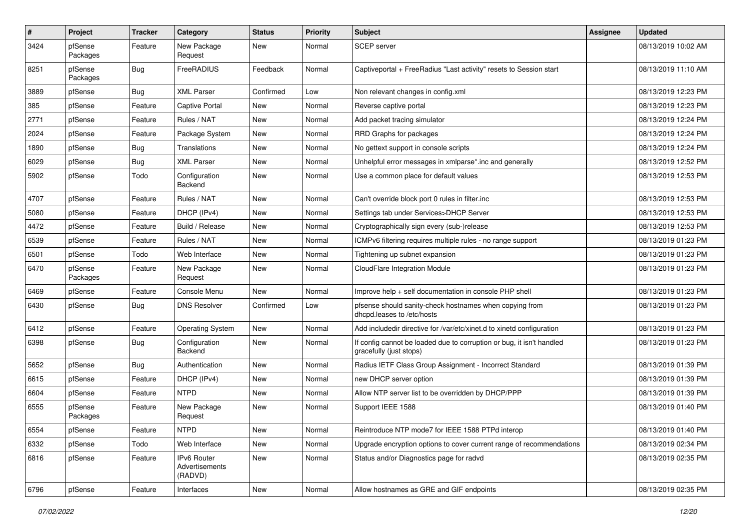| $\sharp$ | Project             | <b>Tracker</b> | Category                                 | <b>Status</b> | <b>Priority</b> | Subject                                                                                          | Assignee | <b>Updated</b>      |
|----------|---------------------|----------------|------------------------------------------|---------------|-----------------|--------------------------------------------------------------------------------------------------|----------|---------------------|
| 3424     | pfSense<br>Packages | Feature        | New Package<br>Request                   | New           | Normal          | SCEP server                                                                                      |          | 08/13/2019 10:02 AM |
| 8251     | pfSense<br>Packages | Bug            | FreeRADIUS                               | Feedback      | Normal          | Captiveportal + FreeRadius "Last activity" resets to Session start                               |          | 08/13/2019 11:10 AM |
| 3889     | pfSense             | <b>Bug</b>     | <b>XML Parser</b>                        | Confirmed     | Low             | Non relevant changes in config.xml                                                               |          | 08/13/2019 12:23 PM |
| 385      | pfSense             | Feature        | Captive Portal                           | <b>New</b>    | Normal          | Reverse captive portal                                                                           |          | 08/13/2019 12:23 PM |
| 2771     | pfSense             | Feature        | Rules / NAT                              | <b>New</b>    | Normal          | Add packet tracing simulator                                                                     |          | 08/13/2019 12:24 PM |
| 2024     | pfSense             | Feature        | Package System                           | New           | Normal          | RRD Graphs for packages                                                                          |          | 08/13/2019 12:24 PM |
| 1890     | pfSense             | <b>Bug</b>     | Translations                             | <b>New</b>    | Normal          | No gettext support in console scripts                                                            |          | 08/13/2019 12:24 PM |
| 6029     | pfSense             | Bug            | <b>XML Parser</b>                        | <b>New</b>    | Normal          | Unhelpful error messages in xmlparse*.inc and generally                                          |          | 08/13/2019 12:52 PM |
| 5902     | pfSense             | Todo           | Configuration<br>Backend                 | New           | Normal          | Use a common place for default values                                                            |          | 08/13/2019 12:53 PM |
| 4707     | pfSense             | Feature        | Rules / NAT                              | <b>New</b>    | Normal          | Can't override block port 0 rules in filter.inc                                                  |          | 08/13/2019 12:53 PM |
| 5080     | pfSense             | Feature        | DHCP (IPv4)                              | New           | Normal          | Settings tab under Services>DHCP Server                                                          |          | 08/13/2019 12:53 PM |
| 4472     | pfSense             | Feature        | Build / Release                          | New           | Normal          | Cryptographically sign every (sub-)release                                                       |          | 08/13/2019 12:53 PM |
| 6539     | pfSense             | Feature        | Rules / NAT                              | New           | Normal          | ICMPv6 filtering requires multiple rules - no range support                                      |          | 08/13/2019 01:23 PM |
| 6501     | pfSense             | Todo           | Web Interface                            | <b>New</b>    | Normal          | Tightening up subnet expansion                                                                   |          | 08/13/2019 01:23 PM |
| 6470     | pfSense<br>Packages | Feature        | New Package<br>Request                   | <b>New</b>    | Normal          | CloudFlare Integration Module                                                                    |          | 08/13/2019 01:23 PM |
| 6469     | pfSense             | Feature        | Console Menu                             | New           | Normal          | Improve help + self documentation in console PHP shell                                           |          | 08/13/2019 01:23 PM |
| 6430     | pfSense             | Bug            | <b>DNS Resolver</b>                      | Confirmed     | Low             | pfsense should sanity-check hostnames when copying from<br>dhcpd.leases to /etc/hosts            |          | 08/13/2019 01:23 PM |
| 6412     | pfSense             | Feature        | <b>Operating System</b>                  | New           | Normal          | Add includedir directive for /var/etc/xinet.d to xinetd configuration                            |          | 08/13/2019 01:23 PM |
| 6398     | pfSense             | Bug            | Configuration<br>Backend                 | New           | Normal          | If config cannot be loaded due to corruption or bug, it isn't handled<br>gracefully (just stops) |          | 08/13/2019 01:23 PM |
| 5652     | pfSense             | Bug            | Authentication                           | <b>New</b>    | Normal          | Radius IETF Class Group Assignment - Incorrect Standard                                          |          | 08/13/2019 01:39 PM |
| 6615     | pfSense             | Feature        | DHCP (IPv4)                              | New           | Normal          | new DHCP server option                                                                           |          | 08/13/2019 01:39 PM |
| 6604     | pfSense             | Feature        | <b>NTPD</b>                              | New           | Normal          | Allow NTP server list to be overridden by DHCP/PPP                                               |          | 08/13/2019 01:39 PM |
| 6555     | pfSense<br>Packages | Feature        | New Package<br>Request                   | New           | Normal          | Support IEEE 1588                                                                                |          | 08/13/2019 01:40 PM |
| 6554     | pfSense             | Feature        | <b>NTPD</b>                              | New           | Normal          | Reintroduce NTP mode7 for IEEE 1588 PTPd interop                                                 |          | 08/13/2019 01:40 PM |
| 6332     | pfSense             | Todo           | Web Interface                            | New           | Normal          | Upgrade encryption options to cover current range of recommendations                             |          | 08/13/2019 02:34 PM |
| 6816     | pfSense             | Feature        | IPv6 Router<br>Advertisements<br>(RADVD) | New           | Normal          | Status and/or Diagnostics page for radvd                                                         |          | 08/13/2019 02:35 PM |
| 6796     | pfSense             | Feature        | Interfaces                               | New           | Normal          | Allow hostnames as GRE and GIF endpoints                                                         |          | 08/13/2019 02:35 PM |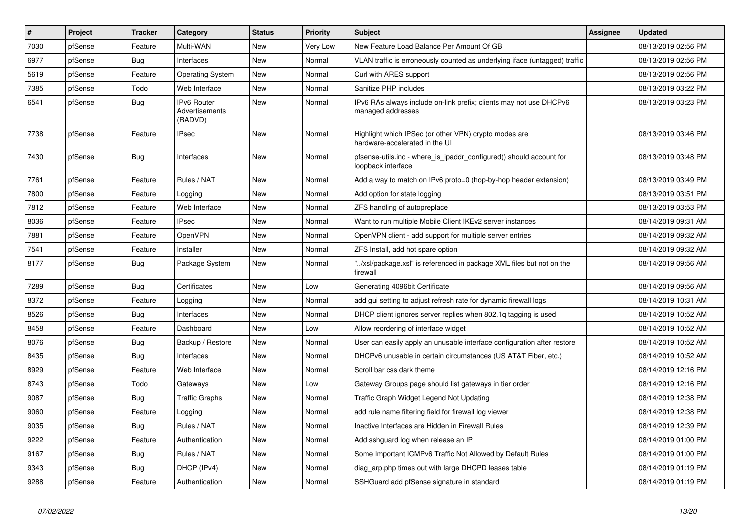| #    | <b>Project</b> | <b>Tracker</b> | Category                                        | <b>Status</b> | Priority | <b>Subject</b>                                                                            | <b>Assignee</b> | <b>Updated</b>      |
|------|----------------|----------------|-------------------------------------------------|---------------|----------|-------------------------------------------------------------------------------------------|-----------------|---------------------|
| 7030 | pfSense        | Feature        | Multi-WAN                                       | <b>New</b>    | Very Low | New Feature Load Balance Per Amount Of GB                                                 |                 | 08/13/2019 02:56 PM |
| 6977 | pfSense        | <b>Bug</b>     | Interfaces                                      | <b>New</b>    | Normal   | VLAN traffic is erroneously counted as underlying iface (untagged) traffic                |                 | 08/13/2019 02:56 PM |
| 5619 | pfSense        | Feature        | <b>Operating System</b>                         | New           | Normal   | Curl with ARES support                                                                    |                 | 08/13/2019 02:56 PM |
| 7385 | pfSense        | Todo           | Web Interface                                   | <b>New</b>    | Normal   | Sanitize PHP includes                                                                     |                 | 08/13/2019 03:22 PM |
| 6541 | pfSense        | <b>Bug</b>     | <b>IPv6 Router</b><br>Advertisements<br>(RADVD) | <b>New</b>    | Normal   | IPv6 RAs always include on-link prefix; clients may not use DHCPv6<br>managed addresses   |                 | 08/13/2019 03:23 PM |
| 7738 | pfSense        | Feature        | <b>IPsec</b>                                    | New           | Normal   | Highlight which IPSec (or other VPN) crypto modes are<br>hardware-accelerated in the UI   |                 | 08/13/2019 03:46 PM |
| 7430 | pfSense        | <b>Bug</b>     | Interfaces                                      | New           | Normal   | pfsense-utils.inc - where is ipaddr configured() should account for<br>loopback interface |                 | 08/13/2019 03:48 PM |
| 7761 | pfSense        | Feature        | Rules / NAT                                     | <b>New</b>    | Normal   | Add a way to match on IPv6 proto=0 (hop-by-hop header extension)                          |                 | 08/13/2019 03:49 PM |
| 7800 | pfSense        | Feature        | Logging                                         | New           | Normal   | Add option for state logging                                                              |                 | 08/13/2019 03:51 PM |
| 7812 | pfSense        | Feature        | Web Interface                                   | New           | Normal   | ZFS handling of autopreplace                                                              |                 | 08/13/2019 03:53 PM |
| 8036 | pfSense        | Feature        | <b>IPsec</b>                                    | New           | Normal   | Want to run multiple Mobile Client IKEv2 server instances                                 |                 | 08/14/2019 09:31 AM |
| 7881 | pfSense        | Feature        | OpenVPN                                         | New           | Normal   | OpenVPN client - add support for multiple server entries                                  |                 | 08/14/2019 09:32 AM |
| 7541 | pfSense        | Feature        | Installer                                       | New           | Normal   | ZFS Install, add hot spare option                                                         |                 | 08/14/2019 09:32 AM |
| 8177 | pfSense        | Bug            | Package System                                  | New           | Normal   | /xsl/package.xsl" is referenced in package XML files but not on the<br>firewall           |                 | 08/14/2019 09:56 AM |
| 7289 | pfSense        | Bug            | Certificates                                    | New           | Low      | Generating 4096bit Certificate                                                            |                 | 08/14/2019 09:56 AM |
| 8372 | pfSense        | Feature        | Logging                                         | New           | Normal   | add gui setting to adjust refresh rate for dynamic firewall logs                          |                 | 08/14/2019 10:31 AM |
| 8526 | pfSense        | Bug            | Interfaces                                      | New           | Normal   | DHCP client ignores server replies when 802.1q tagging is used                            |                 | 08/14/2019 10:52 AM |
| 8458 | pfSense        | Feature        | Dashboard                                       | New           | Low      | Allow reordering of interface widget                                                      |                 | 08/14/2019 10:52 AM |
| 8076 | pfSense        | <b>Bug</b>     | Backup / Restore                                | New           | Normal   | User can easily apply an unusable interface configuration after restore                   |                 | 08/14/2019 10:52 AM |
| 8435 | pfSense        | Bug            | Interfaces                                      | New           | Normal   | DHCPv6 unusable in certain circumstances (US AT&T Fiber, etc.)                            |                 | 08/14/2019 10:52 AM |
| 8929 | pfSense        | Feature        | Web Interface                                   | New           | Normal   | Scroll bar css dark theme                                                                 |                 | 08/14/2019 12:16 PM |
| 8743 | pfSense        | Todo           | Gateways                                        | New           | Low      | Gateway Groups page should list gateways in tier order                                    |                 | 08/14/2019 12:16 PM |
| 9087 | pfSense        | <b>Bug</b>     | <b>Traffic Graphs</b>                           | New           | Normal   | Traffic Graph Widget Legend Not Updating                                                  |                 | 08/14/2019 12:38 PM |
| 9060 | pfSense        | Feature        | Logging                                         | New           | Normal   | add rule name filtering field for firewall log viewer                                     |                 | 08/14/2019 12:38 PM |
| 9035 | pfSense        | Bug            | Rules / NAT                                     | New           | Normal   | Inactive Interfaces are Hidden in Firewall Rules                                          |                 | 08/14/2019 12:39 PM |
| 9222 | pfSense        | Feature        | Authentication                                  | New           | Normal   | Add sshguard log when release an IP                                                       |                 | 08/14/2019 01:00 PM |
| 9167 | pfSense        | <b>Bug</b>     | Rules / NAT                                     | <b>New</b>    | Normal   | Some Important ICMPv6 Traffic Not Allowed by Default Rules                                |                 | 08/14/2019 01:00 PM |
| 9343 | pfSense        | <b>Bug</b>     | DHCP (IPv4)                                     | New           | Normal   | diag arp.php times out with large DHCPD leases table                                      |                 | 08/14/2019 01:19 PM |
| 9288 | pfSense        | Feature        | Authentication                                  | New           | Normal   | SSHGuard add pfSense signature in standard                                                |                 | 08/14/2019 01:19 PM |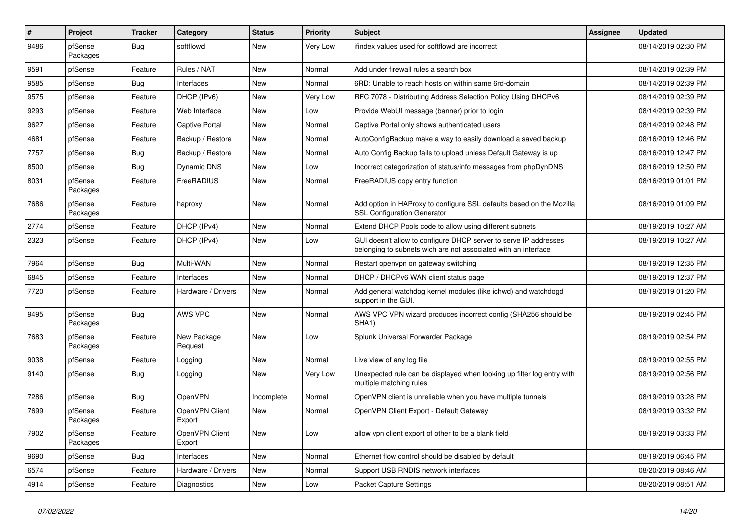| #    | Project             | <b>Tracker</b> | Category                 | <b>Status</b> | <b>Priority</b> | <b>Subject</b>                                                                                                                     | Assignee | <b>Updated</b>      |
|------|---------------------|----------------|--------------------------|---------------|-----------------|------------------------------------------------------------------------------------------------------------------------------------|----------|---------------------|
| 9486 | pfSense<br>Packages | Bug            | softflowd                | New           | Very Low        | ifindex values used for softflowd are incorrect                                                                                    |          | 08/14/2019 02:30 PM |
| 9591 | pfSense             | Feature        | Rules / NAT              | New           | Normal          | Add under firewall rules a search box                                                                                              |          | 08/14/2019 02:39 PM |
| 9585 | pfSense             | Bug            | Interfaces               | New           | Normal          | 6RD: Unable to reach hosts on within same 6rd-domain                                                                               |          | 08/14/2019 02:39 PM |
| 9575 | pfSense             | Feature        | DHCP (IPv6)              | <b>New</b>    | Very Low        | RFC 7078 - Distributing Address Selection Policy Using DHCPv6                                                                      |          | 08/14/2019 02:39 PM |
| 9293 | pfSense             | Feature        | Web Interface            | New           | Low             | Provide WebUI message (banner) prior to login                                                                                      |          | 08/14/2019 02:39 PM |
| 9627 | pfSense             | Feature        | Captive Portal           | New           | Normal          | Captive Portal only shows authenticated users                                                                                      |          | 08/14/2019 02:48 PM |
| 4681 | pfSense             | Feature        | Backup / Restore         | New           | Normal          | AutoConfigBackup make a way to easily download a saved backup                                                                      |          | 08/16/2019 12:46 PM |
| 7757 | pfSense             | Bug            | Backup / Restore         | New           | Normal          | Auto Config Backup fails to upload unless Default Gateway is up                                                                    |          | 08/16/2019 12:47 PM |
| 8500 | pfSense             | <b>Bug</b>     | Dynamic DNS              | <b>New</b>    | Low             | Incorrect categorization of status/info messages from phpDynDNS                                                                    |          | 08/16/2019 12:50 PM |
| 8031 | pfSense<br>Packages | Feature        | FreeRADIUS               | <b>New</b>    | Normal          | FreeRADIUS copy entry function                                                                                                     |          | 08/16/2019 01:01 PM |
| 7686 | pfSense<br>Packages | Feature        | haproxy                  | New           | Normal          | Add option in HAProxy to configure SSL defaults based on the Mozilla<br><b>SSL Configuration Generator</b>                         |          | 08/16/2019 01:09 PM |
| 2774 | pfSense             | Feature        | DHCP (IPv4)              | <b>New</b>    | Normal          | Extend DHCP Pools code to allow using different subnets                                                                            |          | 08/19/2019 10:27 AM |
| 2323 | pfSense             | Feature        | DHCP (IPv4)              | New           | Low             | GUI doesn't allow to configure DHCP server to serve IP addresses<br>belonging to subnets wich are not associated with an interface |          | 08/19/2019 10:27 AM |
| 7964 | pfSense             | <b>Bug</b>     | Multi-WAN                | New           | Normal          | Restart openvpn on gateway switching                                                                                               |          | 08/19/2019 12:35 PM |
| 6845 | pfSense             | Feature        | Interfaces               | New           | Normal          | DHCP / DHCPv6 WAN client status page                                                                                               |          | 08/19/2019 12:37 PM |
| 7720 | pfSense             | Feature        | Hardware / Drivers       | New           | Normal          | Add general watchdog kernel modules (like ichwd) and watchdogd<br>support in the GUI.                                              |          | 08/19/2019 01:20 PM |
| 9495 | pfSense<br>Packages | <b>Bug</b>     | AWS VPC                  | New           | Normal          | AWS VPC VPN wizard produces incorrect config (SHA256 should be<br>SHA <sub>1</sub> )                                               |          | 08/19/2019 02:45 PM |
| 7683 | pfSense<br>Packages | Feature        | New Package<br>Request   | New           | Low             | Splunk Universal Forwarder Package                                                                                                 |          | 08/19/2019 02:54 PM |
| 9038 | pfSense             | Feature        | Logging                  | <b>New</b>    | Normal          | Live view of any log file                                                                                                          |          | 08/19/2019 02:55 PM |
| 9140 | pfSense             | Bug            | Logging                  | New           | Very Low        | Unexpected rule can be displayed when looking up filter log entry with<br>multiple matching rules                                  |          | 08/19/2019 02:56 PM |
| 7286 | pfSense             | Bug            | OpenVPN                  | Incomplete    | Normal          | OpenVPN client is unreliable when you have multiple tunnels                                                                        |          | 08/19/2019 03:28 PM |
| 7699 | pfSense<br>Packages | Feature        | OpenVPN Client<br>Export | New           | Normal          | OpenVPN Client Export - Default Gateway                                                                                            |          | 08/19/2019 03:32 PM |
| 7902 | pfSense<br>Packages | Feature        | OpenVPN Client<br>Export | New           | Low             | allow vpn client export of other to be a blank field                                                                               |          | 08/19/2019 03:33 PM |
| 9690 | pfSense             | Bug            | Interfaces               | New           | Normal          | Ethernet flow control should be disabled by default                                                                                |          | 08/19/2019 06:45 PM |
| 6574 | pfSense             | Feature        | Hardware / Drivers       | New           | Normal          | Support USB RNDIS network interfaces                                                                                               |          | 08/20/2019 08:46 AM |
| 4914 | pfSense             | Feature        | Diagnostics              | New           | Low             | <b>Packet Capture Settings</b>                                                                                                     |          | 08/20/2019 08:51 AM |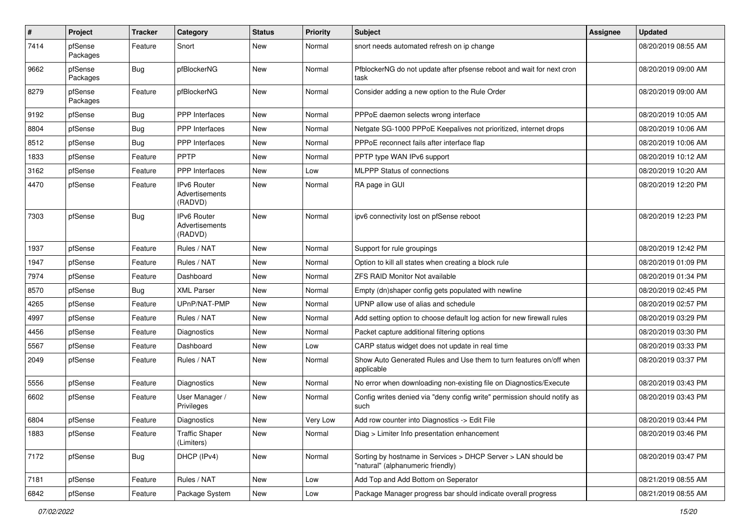| $\sharp$ | Project             | <b>Tracker</b> | Category                                        | <b>Status</b> | <b>Priority</b> | <b>Subject</b>                                                                                     | <b>Assignee</b> | <b>Updated</b>      |
|----------|---------------------|----------------|-------------------------------------------------|---------------|-----------------|----------------------------------------------------------------------------------------------------|-----------------|---------------------|
| 7414     | pfSense<br>Packages | Feature        | Snort                                           | New           | Normal          | snort needs automated refresh on ip change                                                         |                 | 08/20/2019 08:55 AM |
| 9662     | pfSense<br>Packages | Bug            | pfBlockerNG                                     | <b>New</b>    | Normal          | PfblockerNG do not update after pfsense reboot and wait for next cron<br>task                      |                 | 08/20/2019 09:00 AM |
| 8279     | pfSense<br>Packages | Feature        | pfBlockerNG                                     | <b>New</b>    | Normal          | Consider adding a new option to the Rule Order                                                     |                 | 08/20/2019 09:00 AM |
| 9192     | pfSense             | Bug            | <b>PPP</b> Interfaces                           | <b>New</b>    | Normal          | PPPoE daemon selects wrong interface                                                               |                 | 08/20/2019 10:05 AM |
| 8804     | pfSense             | <b>Bug</b>     | PPP Interfaces                                  | New           | Normal          | Netgate SG-1000 PPPoE Keepalives not prioritized, internet drops                                   |                 | 08/20/2019 10:06 AM |
| 8512     | pfSense             | <b>Bug</b>     | PPP Interfaces                                  | New           | Normal          | PPPoE reconnect fails after interface flap                                                         |                 | 08/20/2019 10:06 AM |
| 1833     | pfSense             | Feature        | PPTP                                            | <b>New</b>    | Normal          | PPTP type WAN IPv6 support                                                                         |                 | 08/20/2019 10:12 AM |
| 3162     | pfSense             | Feature        | <b>PPP</b> Interfaces                           | New           | Low             | <b>MLPPP Status of connections</b>                                                                 |                 | 08/20/2019 10:20 AM |
| 4470     | pfSense             | Feature        | <b>IPv6 Router</b><br>Advertisements<br>(RADVD) | New           | Normal          | RA page in GUI                                                                                     |                 | 08/20/2019 12:20 PM |
| 7303     | pfSense             | Bug            | <b>IPv6 Router</b><br>Advertisements<br>(RADVD) | <b>New</b>    | Normal          | ipv6 connectivity lost on pfSense reboot                                                           |                 | 08/20/2019 12:23 PM |
| 1937     | pfSense             | Feature        | Rules / NAT                                     | <b>New</b>    | Normal          | Support for rule groupings                                                                         |                 | 08/20/2019 12:42 PM |
| 1947     | pfSense             | Feature        | Rules / NAT                                     | New           | Normal          | Option to kill all states when creating a block rule                                               |                 | 08/20/2019 01:09 PM |
| 7974     | pfSense             | Feature        | Dashboard                                       | New           | Normal          | <b>ZFS RAID Monitor Not available</b>                                                              |                 | 08/20/2019 01:34 PM |
| 8570     | pfSense             | Bug            | <b>XML Parser</b>                               | <b>New</b>    | Normal          | Empty (dn)shaper config gets populated with newline                                                |                 | 08/20/2019 02:45 PM |
| 4265     | pfSense             | Feature        | UPnP/NAT-PMP                                    | New           | Normal          | UPNP allow use of alias and schedule                                                               |                 | 08/20/2019 02:57 PM |
| 4997     | pfSense             | Feature        | Rules / NAT                                     | <b>New</b>    | Normal          | Add setting option to choose default log action for new firewall rules                             |                 | 08/20/2019 03:29 PM |
| 4456     | pfSense             | Feature        | Diagnostics                                     | New           | Normal          | Packet capture additional filtering options                                                        |                 | 08/20/2019 03:30 PM |
| 5567     | pfSense             | Feature        | Dashboard                                       | New           | Low             | CARP status widget does not update in real time                                                    |                 | 08/20/2019 03:33 PM |
| 2049     | pfSense             | Feature        | Rules / NAT                                     | <b>New</b>    | Normal          | Show Auto Generated Rules and Use them to turn features on/off when<br>applicable                  |                 | 08/20/2019 03:37 PM |
| 5556     | pfSense             | Feature        | Diagnostics                                     | New           | Normal          | No error when downloading non-existing file on Diagnostics/Execute                                 |                 | 08/20/2019 03:43 PM |
| 6602     | pfSense             | Feature        | User Manager /<br>Privileges                    | New           | Normal          | Config writes denied via "deny config write" permission should notify as<br>such                   |                 | 08/20/2019 03:43 PM |
| 6804     | pfSense             | Feature        | Diagnostics                                     | New           | Very Low        | Add row counter into Diagnostics -> Edit File                                                      |                 | 08/20/2019 03:44 PM |
| 1883     | pfSense             | Feature        | <b>Traffic Shaper</b><br>(Limiters)             | New           | Normal          | Diag > Limiter Info presentation enhancement                                                       |                 | 08/20/2019 03:46 PM |
| 7172     | pfSense             | <b>Bug</b>     | DHCP (IPv4)                                     | New           | Normal          | Sorting by hostname in Services > DHCP Server > LAN should be<br>"natural" (alphanumeric friendly) |                 | 08/20/2019 03:47 PM |
| 7181     | pfSense             | Feature        | Rules / NAT                                     | New           | Low             | Add Top and Add Bottom on Seperator                                                                |                 | 08/21/2019 08:55 AM |
| 6842     | pfSense             | Feature        | Package System                                  | New           | Low             | Package Manager progress bar should indicate overall progress                                      |                 | 08/21/2019 08:55 AM |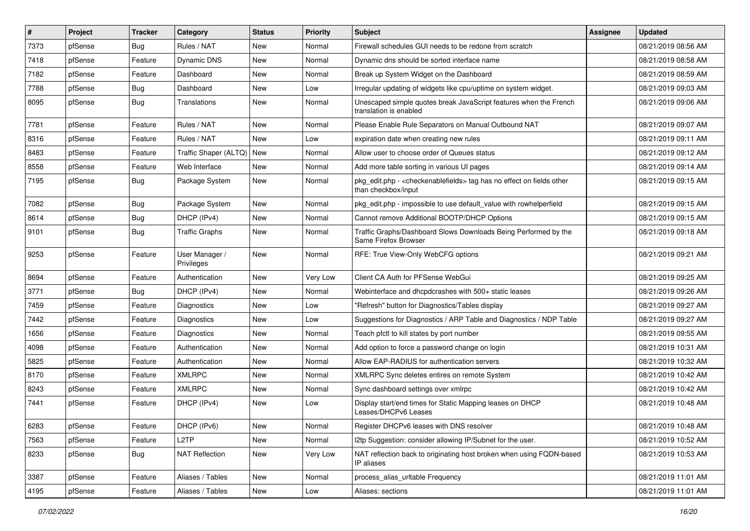| $\vert$ # | Project | <b>Tracker</b> | Category                     | <b>Status</b> | <b>Priority</b> | <b>Subject</b>                                                                                                   | <b>Assignee</b> | <b>Updated</b>      |
|-----------|---------|----------------|------------------------------|---------------|-----------------|------------------------------------------------------------------------------------------------------------------|-----------------|---------------------|
| 7373      | pfSense | Bug            | Rules / NAT                  | New           | Normal          | Firewall schedules GUI needs to be redone from scratch                                                           |                 | 08/21/2019 08:56 AM |
| 7418      | pfSense | Feature        | Dynamic DNS                  | <b>New</b>    | Normal          | Dynamic dns should be sorted interface name                                                                      |                 | 08/21/2019 08:58 AM |
| 7182      | pfSense | Feature        | Dashboard                    | New           | Normal          | Break up System Widget on the Dashboard                                                                          |                 | 08/21/2019 08:59 AM |
| 7788      | pfSense | Bug            | Dashboard                    | New           | Low             | Irregular updating of widgets like cpu/uptime on system widget.                                                  |                 | 08/21/2019 09:03 AM |
| 8095      | pfSense | <b>Bug</b>     | Translations                 | <b>New</b>    | Normal          | Unescaped simple quotes break JavaScript features when the French<br>translation is enabled                      |                 | 08/21/2019 09:06 AM |
| 7781      | pfSense | Feature        | Rules / NAT                  | <b>New</b>    | Normal          | Please Enable Rule Separators on Manual Outbound NAT                                                             |                 | 08/21/2019 09:07 AM |
| 8316      | pfSense | Feature        | Rules / NAT                  | New           | Low             | expiration date when creating new rules                                                                          |                 | 08/21/2019 09:11 AM |
| 8483      | pfSense | Feature        | Traffic Shaper (ALTQ)        | <b>New</b>    | Normal          | Allow user to choose order of Queues status                                                                      |                 | 08/21/2019 09:12 AM |
| 8558      | pfSense | Feature        | Web Interface                | <b>New</b>    | Normal          | Add more table sorting in various UI pages                                                                       |                 | 08/21/2019 09:14 AM |
| 7195      | pfSense | Bug            | Package System               | <b>New</b>    | Normal          | pkg_edit.php - <checkenablefields> tag has no effect on fields other<br/>than checkbox/input</checkenablefields> |                 | 08/21/2019 09:15 AM |
| 7082      | pfSense | <b>Bug</b>     | Package System               | <b>New</b>    | Normal          | pkg_edit.php - impossible to use default_value with rowhelperfield                                               |                 | 08/21/2019 09:15 AM |
| 8614      | pfSense | <b>Bug</b>     | DHCP (IPv4)                  | New           | Normal          | Cannot remove Additional BOOTP/DHCP Options                                                                      |                 | 08/21/2019 09:15 AM |
| 9101      | pfSense | Bug            | <b>Traffic Graphs</b>        | New           | Normal          | Traffic Graphs/Dashboard Slows Downloads Being Performed by the<br>Same Firefox Browser                          |                 | 08/21/2019 09:18 AM |
| 9253      | pfSense | Feature        | User Manager /<br>Privileges | <b>New</b>    | Normal          | RFE: True View-Only WebCFG options                                                                               |                 | 08/21/2019 09:21 AM |
| 8694      | pfSense | Feature        | Authentication               | New           | Very Low        | Client CA Auth for PFSense WebGui                                                                                |                 | 08/21/2019 09:25 AM |
| 3771      | pfSense | Bug            | DHCP (IPv4)                  | New           | Normal          | Webinterface and dhcpdcrashes with 500+ static leases                                                            |                 | 08/21/2019 09:26 AM |
| 7459      | pfSense | Feature        | Diagnostics                  | <b>New</b>    | Low             | "Refresh" button for Diagnostics/Tables display                                                                  |                 | 08/21/2019 09:27 AM |
| 7442      | pfSense | Feature        | Diagnostics                  | New           | Low             | Suggestions for Diagnostics / ARP Table and Diagnostics / NDP Table                                              |                 | 08/21/2019 09:27 AM |
| 1656      | pfSense | Feature        | Diagnostics                  | <b>New</b>    | Normal          | Teach pfctl to kill states by port number                                                                        |                 | 08/21/2019 09:55 AM |
| 4098      | pfSense | Feature        | Authentication               | New           | Normal          | Add option to force a password change on login                                                                   |                 | 08/21/2019 10:31 AM |
| 5825      | pfSense | Feature        | Authentication               | New           | Normal          | Allow EAP-RADIUS for authentication servers                                                                      |                 | 08/21/2019 10:32 AM |
| 8170      | pfSense | Feature        | <b>XMLRPC</b>                | <b>New</b>    | Normal          | XMLRPC Sync deletes entires on remote System                                                                     |                 | 08/21/2019 10:42 AM |
| 8243      | pfSense | Feature        | <b>XMLRPC</b>                | New           | Normal          | Sync dashboard settings over xmlrpc                                                                              |                 | 08/21/2019 10:42 AM |
| 7441      | pfSense | Feature        | DHCP (IPv4)                  | New           | Low             | Display start/end times for Static Mapping leases on DHCP<br>Leases/DHCPv6 Leases                                |                 | 08/21/2019 10:48 AM |
| 6283      | pfSense | Feature        | DHCP (IPv6)                  | New           | Normal          | Register DHCPv6 leases with DNS resolver                                                                         |                 | 08/21/2019 10:48 AM |
| 7563      | pfSense | Feature        | L <sub>2</sub> TP            | New           | Normal          | I2tp Suggestion: consider allowing IP/Subnet for the user.                                                       |                 | 08/21/2019 10:52 AM |
| 8233      | pfSense | <b>Bug</b>     | <b>NAT Reflection</b>        | New           | Very Low        | NAT reflection back to originating host broken when using FQDN-based<br>IP aliases                               |                 | 08/21/2019 10:53 AM |
| 3387      | pfSense | Feature        | Aliases / Tables             | New           | Normal          | process_alias_urItable Frequency                                                                                 |                 | 08/21/2019 11:01 AM |
| 4195      | pfSense | Feature        | Aliases / Tables             | New           | Low             | Aliases: sections                                                                                                |                 | 08/21/2019 11:01 AM |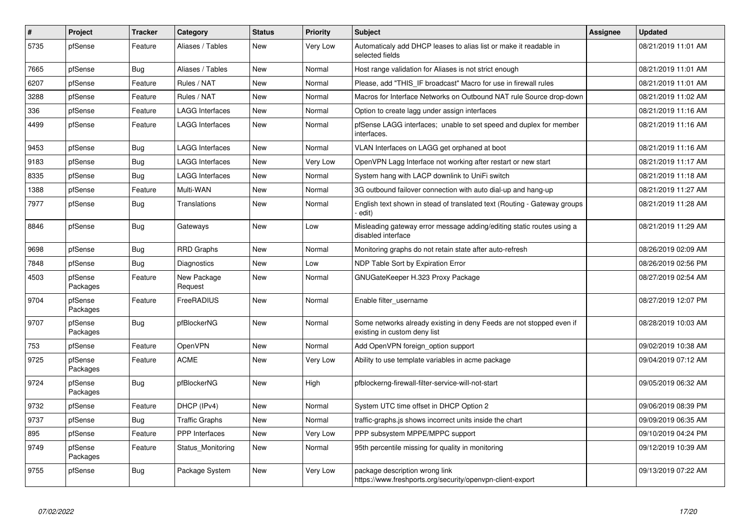| $\pmb{\#}$ | <b>Project</b>      | Tracker    | Category               | <b>Status</b> | <b>Priority</b> | <b>Subject</b>                                                                                       | <b>Assignee</b> | <b>Updated</b>      |
|------------|---------------------|------------|------------------------|---------------|-----------------|------------------------------------------------------------------------------------------------------|-----------------|---------------------|
| 5735       | pfSense             | Feature    | Aliases / Tables       | New           | Very Low        | Automaticaly add DHCP leases to alias list or make it readable in<br>selected fields                 |                 | 08/21/2019 11:01 AM |
| 7665       | pfSense             | <b>Bug</b> | Aliases / Tables       | New           | Normal          | Host range validation for Aliases is not strict enough                                               |                 | 08/21/2019 11:01 AM |
| 6207       | pfSense             | Feature    | Rules / NAT            | New           | Normal          | Please, add "THIS IF broadcast" Macro for use in firewall rules                                      |                 | 08/21/2019 11:01 AM |
| 3288       | pfSense             | Feature    | Rules / NAT            | New           | Normal          | Macros for Interface Networks on Outbound NAT rule Source drop-down                                  |                 | 08/21/2019 11:02 AM |
| 336        | pfSense             | Feature    | LAGG Interfaces        | New           | Normal          | Option to create lagg under assign interfaces                                                        |                 | 08/21/2019 11:16 AM |
| 4499       | pfSense             | Feature    | <b>LAGG Interfaces</b> | New           | Normal          | pfSense LAGG interfaces; unable to set speed and duplex for member<br>interfaces.                    |                 | 08/21/2019 11:16 AM |
| 9453       | pfSense             | <b>Bug</b> | <b>LAGG Interfaces</b> | New           | Normal          | VLAN Interfaces on LAGG get orphaned at boot                                                         |                 | 08/21/2019 11:16 AM |
| 9183       | pfSense             | <b>Bug</b> | <b>LAGG Interfaces</b> | <b>New</b>    | Very Low        | OpenVPN Lagg Interface not working after restart or new start                                        |                 | 08/21/2019 11:17 AM |
| 8335       | pfSense             | <b>Bug</b> | <b>LAGG Interfaces</b> | <b>New</b>    | Normal          | System hang with LACP downlink to UniFi switch                                                       |                 | 08/21/2019 11:18 AM |
| 1388       | pfSense             | Feature    | Multi-WAN              | <b>New</b>    | Normal          | 3G outbound failover connection with auto dial-up and hang-up                                        |                 | 08/21/2019 11:27 AM |
| 7977       | pfSense             | Bug        | Translations           | New           | Normal          | English text shown in stead of translated text (Routing - Gateway groups<br>edit)                    |                 | 08/21/2019 11:28 AM |
| 8846       | pfSense             | <b>Bug</b> | Gateways               | <b>New</b>    | Low             | Misleading gateway error message adding/editing static routes using a<br>disabled interface          |                 | 08/21/2019 11:29 AM |
| 9698       | pfSense             | Bug        | <b>RRD Graphs</b>      | New           | Normal          | Monitoring graphs do not retain state after auto-refresh                                             |                 | 08/26/2019 02:09 AM |
| 7848       | pfSense             | <b>Bug</b> | Diagnostics            | New           | Low             | NDP Table Sort by Expiration Error                                                                   |                 | 08/26/2019 02:56 PM |
| 4503       | pfSense<br>Packages | Feature    | New Package<br>Request | New           | Normal          | GNUGateKeeper H.323 Proxy Package                                                                    |                 | 08/27/2019 02:54 AM |
| 9704       | pfSense<br>Packages | Feature    | FreeRADIUS             | New           | Normal          | Enable filter username                                                                               |                 | 08/27/2019 12:07 PM |
| 9707       | pfSense<br>Packages | <b>Bug</b> | pfBlockerNG            | New           | Normal          | Some networks already existing in deny Feeds are not stopped even if<br>existing in custom deny list |                 | 08/28/2019 10:03 AM |
| 753        | pfSense             | Feature    | OpenVPN                | New           | Normal          | Add OpenVPN foreign_option support                                                                   |                 | 09/02/2019 10:38 AM |
| 9725       | pfSense<br>Packages | Feature    | <b>ACME</b>            | New           | Very Low        | Ability to use template variables in acme package                                                    |                 | 09/04/2019 07:12 AM |
| 9724       | pfSense<br>Packages | <b>Bug</b> | pfBlockerNG            | New           | High            | pfblockerng-firewall-filter-service-will-not-start                                                   |                 | 09/05/2019 06:32 AM |
| 9732       | pfSense             | Feature    | DHCP (IPv4)            | <b>New</b>    | Normal          | System UTC time offset in DHCP Option 2                                                              |                 | 09/06/2019 08:39 PM |
| 9737       | pfSense             | <b>Bug</b> | Traffic Graphs         | <b>New</b>    | Normal          | traffic-graphs.js shows incorrect units inside the chart                                             |                 | 09/09/2019 06:35 AM |
| 895        | pfSense             | Feature    | <b>PPP</b> Interfaces  | New           | Very Low        | PPP subsystem MPPE/MPPC support                                                                      |                 | 09/10/2019 04:24 PM |
| 9749       | pfSense<br>Packages | Feature    | Status_Monitoring      | <b>New</b>    | Normal          | 95th percentile missing for quality in monitoring                                                    |                 | 09/12/2019 10:39 AM |
| 9755       | pfSense             | <b>Bug</b> | Package System         | New           | Very Low        | package description wrong link<br>https://www.freshports.org/security/openvpn-client-export          |                 | 09/13/2019 07:22 AM |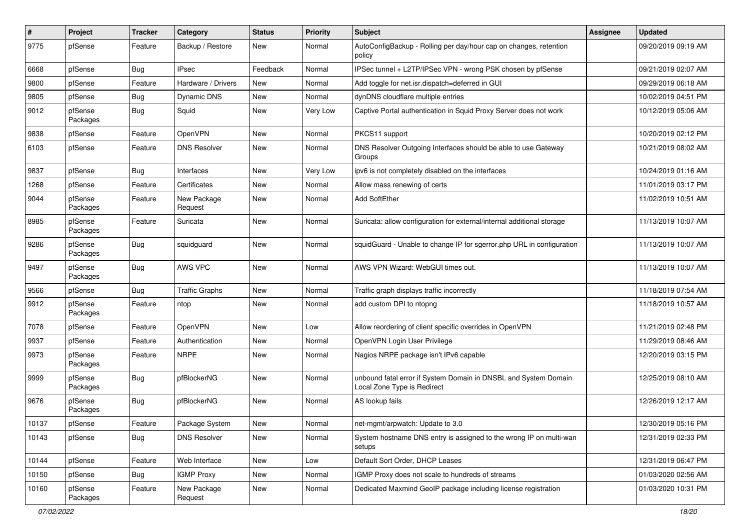| $\sharp$ | Project             | <b>Tracker</b> | Category               | <b>Status</b> | <b>Priority</b> | Subject                                                                                        | <b>Assignee</b> | <b>Updated</b>      |
|----------|---------------------|----------------|------------------------|---------------|-----------------|------------------------------------------------------------------------------------------------|-----------------|---------------------|
| 9775     | pfSense             | Feature        | Backup / Restore       | New           | Normal          | AutoConfigBackup - Rolling per day/hour cap on changes, retention<br>policy                    |                 | 09/20/2019 09:19 AM |
| 6668     | pfSense             | Bug            | <b>IPsec</b>           | Feedback      | Normal          | IPSec tunnel + L2TP/IPSec VPN - wrong PSK chosen by pfSense                                    |                 | 09/21/2019 02:07 AM |
| 9800     | pfSense             | Feature        | Hardware / Drivers     | New           | Normal          | Add toggle for net.isr.dispatch=deferred in GUI                                                |                 | 09/29/2019 06:18 AM |
| 9805     | pfSense             | <b>Bug</b>     | Dynamic DNS            | <b>New</b>    | Normal          | dynDNS cloudflare multiple entries                                                             |                 | 10/02/2019 04:51 PM |
| 9012     | pfSense<br>Packages | Bug            | Squid                  | New           | Very Low        | Captive Portal authentication in Squid Proxy Server does not work                              |                 | 10/12/2019 05:06 AM |
| 9838     | pfSense             | Feature        | OpenVPN                | New           | Normal          | PKCS11 support                                                                                 |                 | 10/20/2019 02:12 PM |
| 6103     | pfSense             | Feature        | <b>DNS Resolver</b>    | New           | Normal          | DNS Resolver Outgoing Interfaces should be able to use Gateway<br>Groups                       |                 | 10/21/2019 08:02 AM |
| 9837     | pfSense             | <b>Bug</b>     | Interfaces             | New           | Very Low        | ipv6 is not completely disabled on the interfaces                                              |                 | 10/24/2019 01:16 AM |
| 1268     | pfSense             | Feature        | Certificates           | New           | Normal          | Allow mass renewing of certs                                                                   |                 | 11/01/2019 03:17 PM |
| 9044     | pfSense<br>Packages | Feature        | New Package<br>Request | <b>New</b>    | Normal          | Add SoftEther                                                                                  |                 | 11/02/2019 10:51 AM |
| 8985     | pfSense<br>Packages | Feature        | Suricata               | <b>New</b>    | Normal          | Suricata: allow configuration for external/internal additional storage                         |                 | 11/13/2019 10:07 AM |
| 9286     | pfSense<br>Packages | <b>Bug</b>     | squidguard             | <b>New</b>    | Normal          | squidGuard - Unable to change IP for sgerror.php URL in configuration                          |                 | 11/13/2019 10:07 AM |
| 9497     | pfSense<br>Packages | Bug            | AWS VPC                | <b>New</b>    | Normal          | AWS VPN Wizard: WebGUI times out.                                                              |                 | 11/13/2019 10:07 AM |
| 9566     | pfSense             | Bug            | <b>Traffic Graphs</b>  | <b>New</b>    | Normal          | Traffic graph displays traffic incorrectly                                                     |                 | 11/18/2019 07:54 AM |
| 9912     | pfSense<br>Packages | Feature        | ntop                   | New           | Normal          | add custom DPI to ntopng                                                                       |                 | 11/18/2019 10:57 AM |
| 7078     | pfSense             | Feature        | OpenVPN                | <b>New</b>    | Low             | Allow reordering of client specific overrides in OpenVPN                                       |                 | 11/21/2019 02:48 PM |
| 9937     | pfSense             | Feature        | Authentication         | New           | Normal          | OpenVPN Login User Privilege                                                                   |                 | 11/29/2019 08:46 AM |
| 9973     | pfSense<br>Packages | Feature        | <b>NRPE</b>            | New           | Normal          | Nagios NRPE package isn't IPv6 capable                                                         |                 | 12/20/2019 03:15 PM |
| 9999     | pfSense<br>Packages | <b>Bug</b>     | pfBlockerNG            | New           | Normal          | unbound fatal error if System Domain in DNSBL and System Domain<br>Local Zone Type is Redirect |                 | 12/25/2019 08:10 AM |
| 9676     | pfSense<br>Packages | Bug            | pfBlockerNG            | <b>New</b>    | Normal          | AS lookup fails                                                                                |                 | 12/26/2019 12:17 AM |
| 10137    | pfSense             | Feature        | Package System         | New           | Normal          | net-mgmt/arpwatch: Update to 3.0                                                               |                 | 12/30/2019 05:16 PM |
| 10143    | pfSense             | Bug            | <b>DNS Resolver</b>    | New           | Normal          | System hostname DNS entry is assigned to the wrong IP on multi-wan<br>setups                   |                 | 12/31/2019 02:33 PM |
| 10144    | pfSense             | Feature        | Web Interface          | New           | Low             | Default Sort Order, DHCP Leases                                                                |                 | 12/31/2019 06:47 PM |
| 10150    | pfSense             | <b>Bug</b>     | <b>IGMP Proxy</b>      | New           | Normal          | IGMP Proxy does not scale to hundreds of streams                                               |                 | 01/03/2020 02:56 AM |
| 10160    | pfSense<br>Packages | Feature        | New Package<br>Request | New           | Normal          | Dedicated Maxmind GeoIP package including license registration                                 |                 | 01/03/2020 10:31 PM |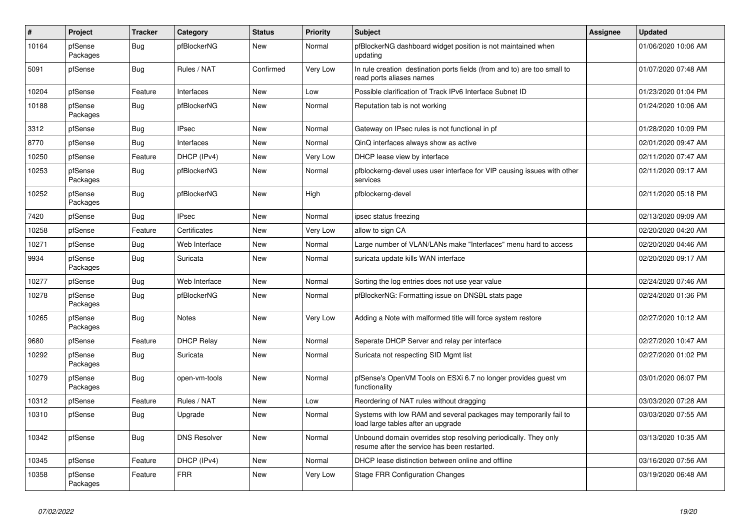| #     | Project             | <b>Tracker</b> | Category            | <b>Status</b> | Priority | <b>Subject</b>                                                                                                  | <b>Assignee</b> | <b>Updated</b>      |
|-------|---------------------|----------------|---------------------|---------------|----------|-----------------------------------------------------------------------------------------------------------------|-----------------|---------------------|
| 10164 | pfSense<br>Packages | <b>Bug</b>     | pfBlockerNG         | New           | Normal   | pfBlockerNG dashboard widget position is not maintained when<br>updating                                        |                 | 01/06/2020 10:06 AM |
| 5091  | pfSense             | <b>Bug</b>     | Rules / NAT         | Confirmed     | Very Low | In rule creation destination ports fields (from and to) are too small to<br>read ports aliases names            |                 | 01/07/2020 07:48 AM |
| 10204 | pfSense             | Feature        | Interfaces          | <b>New</b>    | Low      | Possible clarification of Track IPv6 Interface Subnet ID                                                        |                 | 01/23/2020 01:04 PM |
| 10188 | pfSense<br>Packages | <b>Bug</b>     | pfBlockerNG         | New           | Normal   | Reputation tab is not working                                                                                   |                 | 01/24/2020 10:06 AM |
| 3312  | pfSense             | <b>Bug</b>     | <b>IPsec</b>        | New           | Normal   | Gateway on IPsec rules is not functional in pf                                                                  |                 | 01/28/2020 10:09 PM |
| 8770  | pfSense             | Bug            | Interfaces          | New           | Normal   | QinQ interfaces always show as active                                                                           |                 | 02/01/2020 09:47 AM |
| 10250 | pfSense             | Feature        | DHCP (IPv4)         | New           | Very Low | DHCP lease view by interface                                                                                    |                 | 02/11/2020 07:47 AM |
| 10253 | pfSense<br>Packages | <b>Bug</b>     | pfBlockerNG         | New           | Normal   | pfblockerng-devel uses user interface for VIP causing issues with other<br>services                             |                 | 02/11/2020 09:17 AM |
| 10252 | pfSense<br>Packages | Bug            | pfBlockerNG         | New           | High     | pfblockerng-devel                                                                                               |                 | 02/11/2020 05:18 PM |
| 7420  | pfSense             | Bug            | <b>IPsec</b>        | <b>New</b>    | Normal   | ipsec status freezing                                                                                           |                 | 02/13/2020 09:09 AM |
| 10258 | pfSense             | Feature        | Certificates        | New           | Very Low | allow to sign CA                                                                                                |                 | 02/20/2020 04:20 AM |
| 10271 | pfSense             | <b>Bug</b>     | Web Interface       | New           | Normal   | Large number of VLAN/LANs make "Interfaces" menu hard to access                                                 |                 | 02/20/2020 04:46 AM |
| 9934  | pfSense<br>Packages | <b>Bug</b>     | Suricata            | New           | Normal   | suricata update kills WAN interface                                                                             |                 | 02/20/2020 09:17 AM |
| 10277 | pfSense             | Bug            | Web Interface       | New           | Normal   | Sorting the log entries does not use year value                                                                 |                 | 02/24/2020 07:46 AM |
| 10278 | pfSense<br>Packages | <b>Bug</b>     | pfBlockerNG         | New           | Normal   | pfBlockerNG: Formatting issue on DNSBL stats page                                                               |                 | 02/24/2020 01:36 PM |
| 10265 | pfSense<br>Packages | <b>Bug</b>     | Notes               | New           | Very Low | Adding a Note with malformed title will force system restore                                                    |                 | 02/27/2020 10:12 AM |
| 9680  | pfSense             | Feature        | <b>DHCP Relay</b>   | <b>New</b>    | Normal   | Seperate DHCP Server and relay per interface                                                                    |                 | 02/27/2020 10:47 AM |
| 10292 | pfSense<br>Packages | Bug            | Suricata            | New           | Normal   | Suricata not respecting SID Mgmt list                                                                           |                 | 02/27/2020 01:02 PM |
| 10279 | pfSense<br>Packages | <b>Bug</b>     | open-vm-tools       | New           | Normal   | pfSense's OpenVM Tools on ESXi 6.7 no longer provides guest vm<br>functionality                                 |                 | 03/01/2020 06:07 PM |
| 10312 | pfSense             | Feature        | Rules / NAT         | New           | Low      | Reordering of NAT rules without dragging                                                                        |                 | 03/03/2020 07:28 AM |
| 10310 | pfSense             | <b>Bug</b>     | Upgrade             | New           | Normal   | Systems with low RAM and several packages may temporarily fail to<br>load large tables after an upgrade         |                 | 03/03/2020 07:55 AM |
| 10342 | pfSense             | Bug            | <b>DNS Resolver</b> | New           | Normal   | Unbound domain overrides stop resolving periodically. They only<br>resume after the service has been restarted. |                 | 03/13/2020 10:35 AM |
| 10345 | pfSense             | Feature        | DHCP (IPv4)         | <b>New</b>    | Normal   | DHCP lease distinction between online and offline                                                               |                 | 03/16/2020 07:56 AM |
| 10358 | pfSense<br>Packages | Feature        | <b>FRR</b>          | <b>New</b>    | Very Low | Stage FRR Configuration Changes                                                                                 |                 | 03/19/2020 06:48 AM |